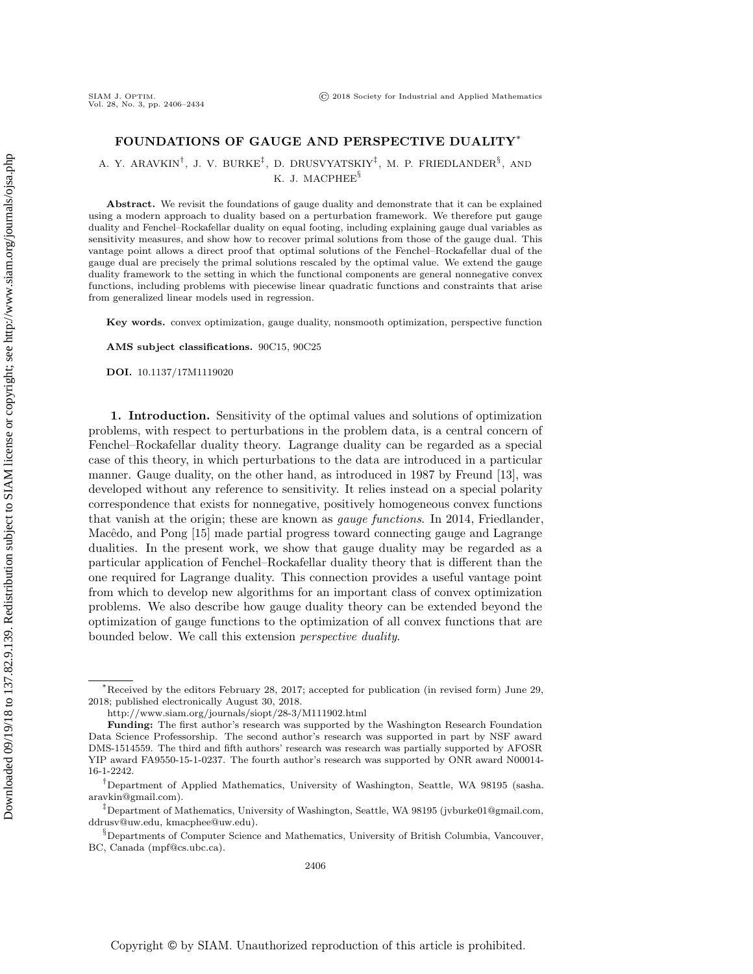## FOUNDATIONS OF GAUGE AND PERSPECTIVE DUALITY\*

A. Y. ARAVKIN<sup>†</sup>, J. V. BURKE<sup>‡</sup>, D. DRUSVYATSKIY<sup>‡</sup>, M. P. FRIEDLANDER<sup>§</sup>, AND K. J. MACPHEE<sup>§</sup>

Abstract. We revisit the foundations of gauge duality and demonstrate that it can be explained using a modern approach to duality based on a perturbation framework. We therefore put gauge duality and Fenchel--Rockafellar duality on equal footing, including explaining gauge dual variables as sensitivity measures, and show how to recover primal solutions from those of the gauge dual. This vantage point allows a direct proof that optimal solutions of the Fenchel--Rockafellar dual of the gauge dual are precisely the primal solutions rescaled by the optimal value. We extend the gauge duality framework to the setting in which the functional components are general nonnegative convex functions, including problems with piecewise linear quadratic functions and constraints that arise from generalized linear models used in regression.

Key words. convex optimization, gauge duality, nonsmooth optimization, perspective function

AMS subject classifications. 90C15, 90C25

DOI. 10.1137/17M1119020

1. Introduction. Sensitivity of the optimal values and solutions of optimization problems, with respect to perturbations in the problem data, is a central concern of Fenchel--Rockafellar duality theory. Lagrange duality can be regarded as a special case of this theory, in which perturbations to the data are introduced in a particular manner. Gauge duality, on the other hand, as introduced in 1987 by Freund [\[13\]](#page-28-0), was developed without any reference to sensitivity. It relies instead on a special polarity correspondence that exists for nonnegative, positively homogeneous convex functions that vanish at the origin; these are known as gauge functions. In 2014, Friedlander, Macêdo, and Pong [\[15\]](#page-28-1) made partial progress toward connecting gauge and Lagrange dualities. In the present work, we show that gauge duality may be regarded as a particular application of Fenchel--Rockafellar duality theory that is different than the one required for Lagrange duality. This connection provides a useful vantage point from which to develop new algorithms for an important class of convex optimization problems. We also describe how gauge duality theory can be extended beyond the optimization of gauge functions to the optimization of all convex functions that are bounded below. We call this extension perspective duality.

 $*$ Received by the editors February 28, 2017; accepted for publication (in revised form) June 29, 2018; published electronically August 30, 2018.

<http://www.siam.org/journals/siopt/28-3/M111902.html>

Funding: The first author's research was supported by the Washington Research Foundation Data Science Professorship. The second author's research was supported in part by NSF award DMS-1514559. The third and fifth authors' research was research was partially supported by AFOSR YIP award FA9550-15-1-0237. The fourth author's research was supported by ONR award N00014- 16-1-2242.

<sup>&</sup>lt;sup>†</sup>Department of Applied Mathematics, University of Washington, Seattle, WA 98195 [\(sasha.](mailto:sasha.aravkin@gmail.com) [aravkin@gmail.com\)](mailto:sasha.aravkin@gmail.com).

 $\ddagger$ Department of Mathematics, University of Washington, Seattle, WA 98195 [\(jvburke01@gmail.com,](mailto:jvburke01@gmail.com) [ddrusv@uw.edu,](mailto:ddrusv@uw.edu) [kmacphee@uw.edu\)](mailto:kmacphee@uw.edu).

 $\S$  Departments of Computer Science and Mathematics, University of British Columbia, Vancouver, BC, Canada [\(mpf@cs.ubc.ca\)](mailto:mpf@cs.ubc.ca).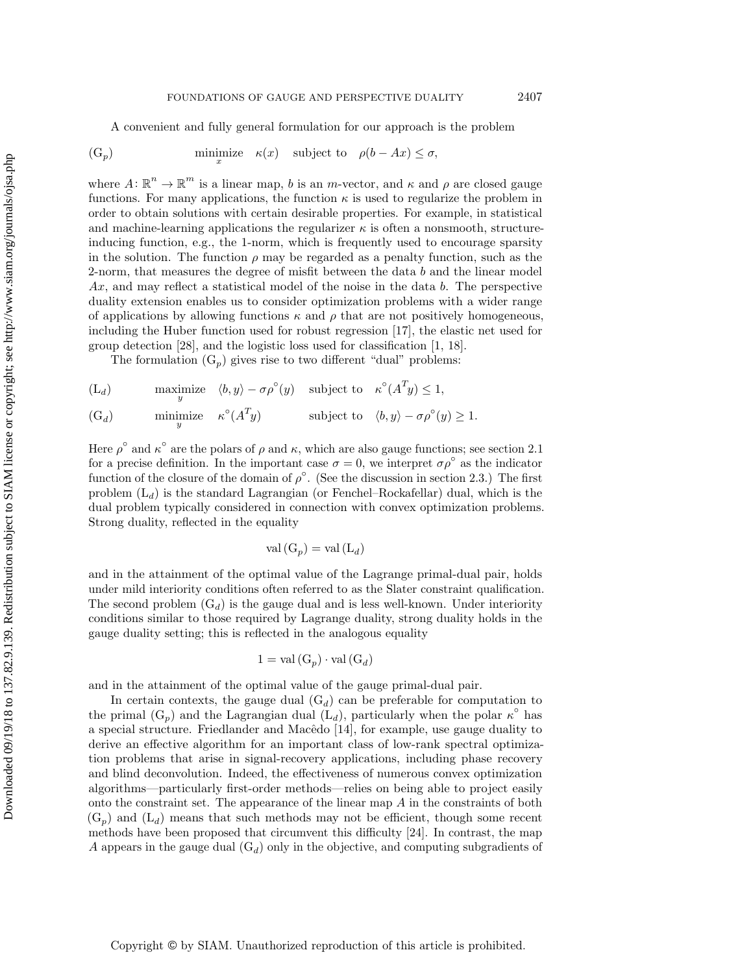A convenient and fully general formulation for our approach is the problem

<span id="page-1-0"></span>
$$
\text{(G}_p) \quad \text{minimize} \quad \kappa(x) \quad \text{subject to} \quad \rho(b - Ax) \le \sigma,
$$

where  $A: \mathbb{R}^n \to \mathbb{R}^m$  is a linear map, b is an m-vector, and  $\kappa$  and  $\rho$  are closed gauge functions. For many applications, the function  $\kappa$  is used to regularize the problem in order to obtain solutions with certain desirable properties. For example, in statistical and machine-learning applications the regularizer  $\kappa$  is often a nonsmooth, structureinducing function, e.g., the 1-norm, which is frequently used to encourage sparsity in the solution. The function  $\rho$  may be regarded as a penalty function, such as the 2-norm, that measures the degree of misfit between the data b and the linear model  $Ax$ , and may reflect a statistical model of the noise in the data b. The perspective duality extension enables us to consider optimization problems with a wider range of applications by allowing functions  $\kappa$  and  $\rho$  that are not positively homogeneous, including the Huber function used for robust regression [\[17\]](#page-28-2), the elastic net used for group detection [\[28\]](#page-28-3), and the logistic loss used for classification [\[1,](#page-27-0) [18\]](#page-28-4).

The formulation  $(G_p)$  gives rise to two different "dual" problems:

<span id="page-1-2"></span><span id="page-1-1"></span> $(L_d)$  maximize  $\langle b, y \rangle - \sigma \rho^\circ(y)$  subject to  $\kappa^\circ(A^T y) \leq 1$ ,  $(L_d)$  $(G_d)$  minimize  $\kappa^{\circ}(A^T y)$  subject to  $\langle b, y \rangle - \sigma \rho^{\circ}(y) \geq 1$ .  $(G_d)$ 

Here  $\rho^{\circ}$  and  $\kappa^{\circ}$  are the polars of  $\rho$  and  $\kappa$ , which are also gauge functions; see [section 2.1](#page-3-0) for a precise definition. In the important case  $\sigma = 0$ , we interpret  $\sigma \rho^{\circ}$  as the indicator function of the closure of the domain of  $\rho^{\circ}$ . (See the discussion in [section 2.3.](#page-4-0)) The first problem  $(L_d)$  is the standard Lagrangian (or Fenchel-Rockafellar) dual, which is the dual problem typically considered in connection with convex optimization problems. Strong duality, reflected in the equality

$$
\text{val}\left(\mathbf{G}_p\right) = \text{val}\left(\mathbf{L}_d\right)
$$

and in the attainment of the optimal value of the Lagrange primal-dual pair, holds under mild interiority conditions often referred to as the Slater constraint qualification. The second problem  $(G_d)$  is the gauge dual and is less well-known. Under interiority conditions similar to those required by Lagrange duality, strong duality holds in the gauge duality setting; this is reflected in the analogous equality

$$
1 = \text{val}(G_p) \cdot \text{val}(G_d)
$$

and in the attainment of the optimal value of the gauge primal-dual pair.

In certain contexts, the gauge dual  $(G_d)$  can be preferable for computation to the primal  $(G_p)$  and the Lagrangian dual  $(L_d)$ , particularly when the polar  $\kappa^{\circ}$  has a special structure. Friedlander and Mac\^edo [\[14\]](#page-28-5), for example, use gauge duality to derive an effective algorithm for an important class of low-rank spectral optimization problems that arise in signal-recovery applications, including phase recovery and blind deconvolution. Indeed, the effectiveness of numerous convex optimization algorithms—particularly first-order methods—relies on being able to project easily onto the constraint set. The appearance of the linear map  $A$  in the constraints of both  $(G_p)$  $(G_p)$  and  $(L_d)$  means that such methods may not be efficient, though some recent methods have been proposed that circumvent this difficulty [\[24\]](#page-28-6). In contrast, the map A appears in the gauge dual  $(G_d)$  only in the objective, and computing subgradients of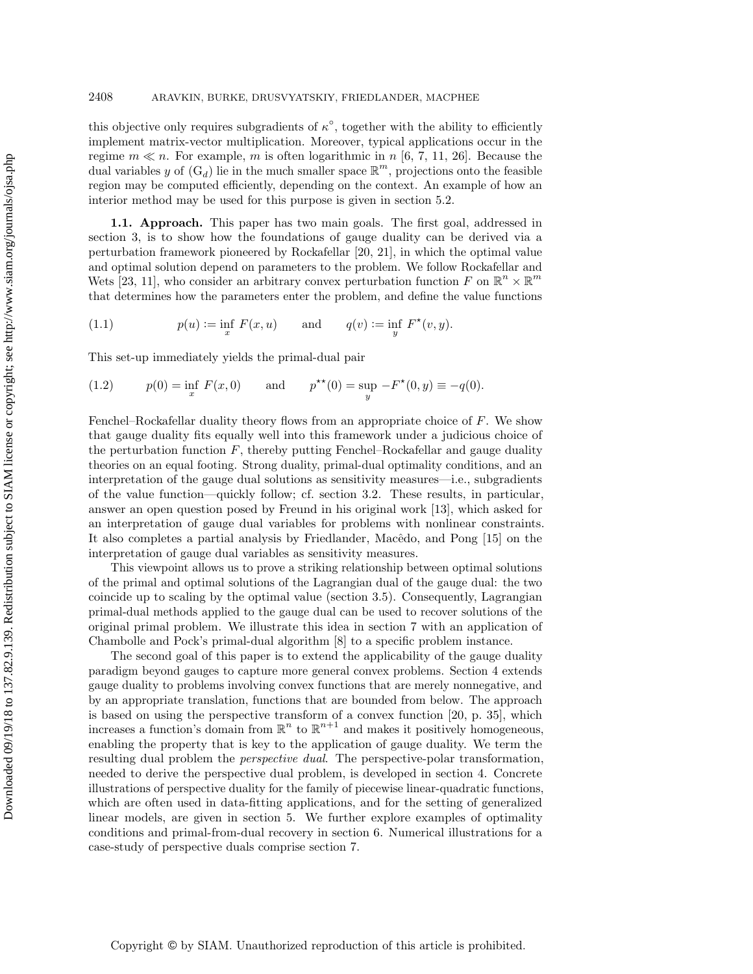this objective only requires subgradients of  $\kappa^{\circ}$ , together with the ability to efficiently implement matrix-vector multiplication. Moreover, typical applications occur in the regime  $m \ll n$ . For example, m is often logarithmic in n [\[6,](#page-28-7) [7,](#page-28-8) [11,](#page-28-9) [26\]](#page-28-10). Because the dual variables y of  $(G_d)$  lie in the much smaller space  $\mathbb{R}^m$ , projections onto the feasible region may be computed efficiently, depending on the context. An example of how an interior method may be used for this purpose is given in [section 5.2.](#page-21-0)

1.1. Approach. This paper has two main goals. The first goal, addressed in [section 3,](#page-5-0) is to show how the foundations of gauge duality can be derived via a perturbation framework pioneered by Rockafellar [\[20,](#page-28-11) [21\]](#page-28-12), in which the optimal value and optimal solution depend on parameters to the problem. We follow Rockafellar and Wets [\[23,](#page-28-13) 11], who consider an arbitrary convex perturbation function F on  $\mathbb{R}^n \times \mathbb{R}^m$ that determines how the parameters enter the problem, and define the value functions

<span id="page-2-0"></span>(1.1) 
$$
p(u) := \inf_{x} F(x, u)
$$
 and  $q(v) := \inf_{y} F^*(v, y)$ .

This set-up immediately yields the primal-dual pair

<span id="page-2-1"></span>(1.2) 
$$
p(0) = \inf_x F(x, 0)
$$
 and  $p^{**}(0) = \sup_y -F^*(0, y) \equiv -q(0)$ .

Fenchel-Rockafellar duality theory flows from an appropriate choice of F. We show that gauge duality fits equally well into this framework under a judicious choice of the perturbation function  $F$ , thereby putting Fenchel-Rockafellar and gauge duality theories on an equal footing. Strong duality, primal-dual optimality conditions, and an interpretation of the gauge dual solutions as sensitivity measures-i.e., subgradients of the value function—quickly follow; cf. [section 3.2.](#page-6-0) These results, in particular, answer an open question posed by Freund in his original work [\[13\]](#page-28-0), which asked for an interpretation of gauge dual variables for problems with nonlinear constraints. It also completes a partial analysis by Friedlander, Mac\^edo, and Pong [\[15\]](#page-28-1) on the interpretation of gauge dual variables as sensitivity measures.

This viewpoint allows us to prove a striking relationship between optimal solutions of the primal and optimal solutions of the Lagrangian dual of the gauge dual: the two coincide up to scaling by the optimal value [\(section 3.5\)](#page-12-0). Consequently, Lagrangian primal-dual methods applied to the gauge dual can be used to recover solutions of the original primal problem. We illustrate this idea in [section 7](#page-24-0) with an application of Chambolle and Pock's primal-dual algorithm [\[8\]](#page-28-14) to a specific problem instance.

The second goal of this paper is to extend the applicability of the gauge duality paradigm beyond gauges to capture more general convex problems. [Section 4](#page-13-0) extends gauge duality to problems involving convex functions that are merely nonnegative, and by an appropriate translation, functions that are bounded from below. The approach is based on using the perspective transform of a convex function [\[20,](#page-28-11) p. 35], which increases a function's domain from  $\mathbb{R}^n$  to  $\mathbb{R}^{n+1}$  and makes it positively homogeneous, enabling the property that is key to the application of gauge duality. We term the resulting dual problem the perspective dual. The perspective-polar transformation, needed to derive the perspective dual problem, is developed in [section 4.](#page-13-0) Concrete illustrations of perspective duality for the family of piecewise linear-quadratic functions, which are often used in data-fitting applications, and for the setting of generalized linear models, are given in [section 5.](#page-19-0) We further explore examples of optimality conditions and primal-from-dual recovery in [section 6.](#page-22-0) Numerical illustrations for a case-study of perspective duals comprise [section 7.](#page-24-0)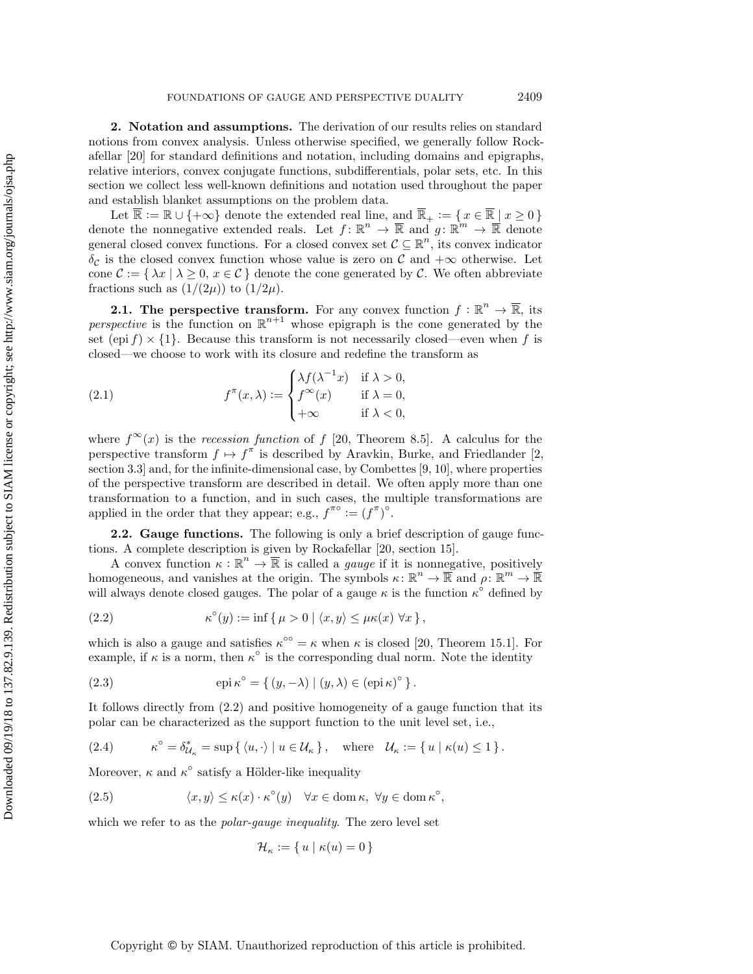2. Notation and assumptions. The derivation of our results relies on standard notions from convex analysis. Unless otherwise specified, we generally follow Rockafellar [\[20\]](#page-28-11) for standard definitions and notation, including domains and epigraphs, relative interiors, convex conjugate functions, subdifferentials, polar sets, etc. In this section we collect less well-known definitions and notation used throughout the paper and establish blanket assumptions on the problem data.

Let  $\overline{\Bbb R} := \Bbb R \cup \{ +\infty \}$  denote the extended real line, and  $\overline{\Bbb R}_+ := \{ x \in \overline{\Bbb R} \mid x \geq 0 \}$ denote the nonnegative extended reals. Let  $f: \mathbb{R}^n \to \overline{\mathbb{R}}$  and  $g: \mathbb{R}^m \to \overline{\mathbb{R}}$  denote general closed convex functions. For a closed convex set  $\mathcal{C} \subseteq \mathbb{R}^n$ , its convex indicator  $\delta_{\mathcal{C}}$  is the closed convex function whose value is zero on  $\mathcal{C}$  and  $+\infty$  otherwise. Let cone  $\mathcal{C} := \{ \lambda x \mid \lambda \geq 0, x \in \mathcal{C} \}$  denote the cone generated by  $\mathcal{C}$ . We often abbreviate fractions such as  $(1/(2\mu))$  to  $(1/2\mu)$ .

<span id="page-3-0"></span>**2.1.** The perspective transform. For any convex function  $f : \mathbb{R}^n \rightarrow \overline{\mathbb{R}}$ , its perspective is the function on  $\mathbb{R}^{n+1}$  whose epigraph is the cone generated by the set (epi  $f \times \{ 1\}$ ). Because this transform is not necessarily closed—even when f is closed—we choose to work with its closure and redefine the transform as

<span id="page-3-5"></span>(2.1) 
$$
f^{\pi}(x,\lambda) := \begin{cases} \lambda f(\lambda^{-1}x) & \text{if } \lambda > 0, \\ f^{\infty}(x) & \text{if } \lambda = 0, \\ +\infty & \text{if } \lambda < 0, \end{cases}
$$

where  $f^{\infty}(x)$  is the recession function of f [\[20,](#page-28-11) Theorem 8.5]. A calculus for the perspective transform  $f \mapsto f^{\pi}$  is described by Aravkin, Burke, and Friedlander [\[2,](#page-27-1) section 3.3] and, for the infinite-dimensional case, by Combettes [\[9,](#page-28-15) [10\]](#page-28-16), where properties of the perspective transform are described in detail. We often apply more than one transformation to a function, and in such cases, the multiple transformations are applied in the order that they appear; e.g.,  $f^{\pi \circ} := (f^{\pi})^{\circ}$ .

2.2. Gauge functions. The following is only a brief description of gauge functions. A complete description is given by Rockafellar [\[20,](#page-28-11) section 15].

A convex function  $\kappa : \mathbb{R}^n \to \overline{\mathbb{R}}$  is called a *gauge* if it is nonnegative, positively homogeneous, and vanishes at the origin. The symbols  $\kappa : \mathbb{R}^n \to \overline{\mathbb{R}}$  and  $\rho : \mathbb{R}^m \to \overline{\mathbb{R}}$ will always denote closed gauges. The polar of a gauge  $\kappa$  is the function  $\kappa^{\circ}$  defined by

<span id="page-3-1"></span>(2.2) 
$$
\kappa^{\circ}(y) := \inf \{ \mu > 0 \mid \langle x, y \rangle \leq \mu \kappa(x) \,\forall x \},
$$

which is also a gauge and satisfies  $\kappa^{\infty} = \kappa$  when  $\kappa$  is closed [\[20,](#page-28-11) Theorem 15.1]. For example, if  $\kappa$  is a norm, then  $\kappa^{\circ}$  is the corresponding dual norm. Note the identity

<span id="page-3-2"></span>(2.3) 
$$
\operatorname{epi} \kappa^{\circ} = \{ (y, -\lambda) \mid (y, \lambda) \in (\operatorname{epi} \kappa)^{\circ} \}.
$$

It follows directly from [\(2.2\)](#page-3-1) and positive homogeneity of a gauge function that its polar can be characterized as the support function to the unit level set, i.e.,

<span id="page-3-3"></span>(2.4) 
$$
\kappa^{\circ} = \delta_{\mathcal{U}_{\kappa}}^{*} = \sup \{ \langle u, \cdot \rangle \mid u \in \mathcal{U}_{\kappa} \}, \text{ where } \mathcal{U}_{\kappa} := \{ u \mid \kappa(u) \leq 1 \}.
$$

Moreover,  $\kappa$  and  $\kappa^{\circ}$  satisfy a Hölder-like inequality

(2.5) 
$$
\langle x, y \rangle \le \kappa(x) \cdot \kappa^{\circ}(y) \quad \forall x \in \text{dom } \kappa, \ \forall y \in \text{dom } \kappa^{\circ},
$$

which we refer to as the *polar-gauge inequality*. The zero level set

<span id="page-3-4"></span>
$$
\mathcal{H}_{\kappa} := \{ u \mid \kappa(u) = 0 \}
$$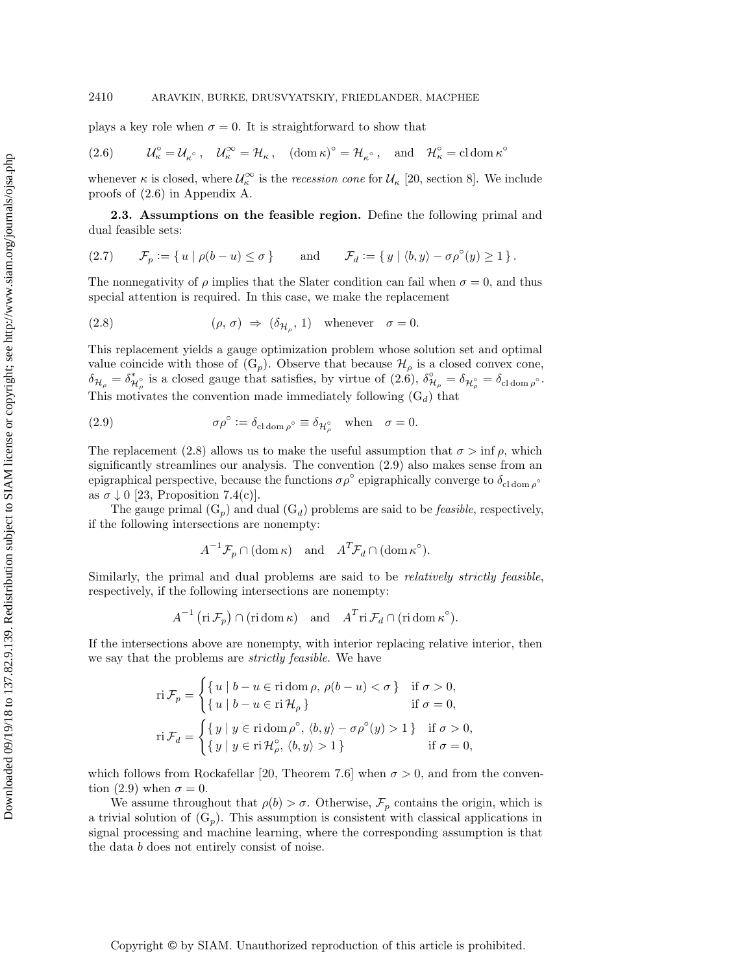plays a key role when  $\sigma = 0$ . It is straightforward to show that

<span id="page-4-1"></span>(2.6) 
$$
\mathcal{U}_{\kappa}^{\circ} = \mathcal{U}_{\kappa}^{\circ} , \quad \mathcal{U}_{\kappa}^{\infty} = \mathcal{H}_{\kappa} , \quad (\text{dom } \kappa)^{\circ} = \mathcal{H}_{\kappa^{\circ}} , \quad \text{and} \quad \mathcal{H}_{\kappa}^{\circ} = \text{cl dom } \kappa^{\circ}
$$

whenever  $\kappa$  is closed, where  $\mathcal{U}_{\kappa}^{\infty}$  is the *recession cone* for  $\mathcal{U}_{\kappa}$  [\[20,](#page-28-11) section 8]. We include proofs of [\(2.6\)](#page-4-1) in [Appendix A.](#page-26-0)

<span id="page-4-0"></span>2.3. Assumptions on the feasible region. Define the following primal and dual feasible sets:

<span id="page-4-4"></span>(2.7) 
$$
\mathcal{F}_p := \{ u \mid \rho(b - u) \le \sigma \}
$$
 and  $\mathcal{F}_d := \{ y \mid \langle b, y \rangle - \sigma \rho^{\circ}(y) \ge 1 \}.$ 

The nonnegativity of  $\rho$  implies that the Slater condition can fail when  $\sigma = 0$ , and thus special attention is required. In this case, we make the replacement

<span id="page-4-2"></span>(2.8) 
$$
(\rho, \sigma) \Rightarrow (\delta_{\mathcal{H}_{\rho}}, 1) \text{ whenever } \sigma = 0.
$$

This replacement yields a gauge optimization problem whose solution set and optimal value coincide with those of  $(G_p)$  $(G_p)$ . Observe that because  $\mathcal{H}_\rho$  is a closed convex cone,  $\delta \mathcal{H}_{\rho} = \delta_{\mathcal{H}_{\rho}^{\circ}}^{*}$  is a closed gauge that satisfies, by virtue of  $(2.6)$ ,  $\delta_{\mathcal{H}_{\rho}}^{\circ} = \delta_{\mathcal{H}_{\rho}^{\circ}} = \delta_{\text{cl dom }\rho^{\circ}}$ . This motivates the convention made immediately following  $(G_d)$  $(G_d)$  that

<span id="page-4-3"></span>(2.9) 
$$
\sigma \rho^{\circ} := \delta_{\text{cl dom}\,\rho^{\circ}} \equiv \delta_{\mathcal{H}_{\rho}^{\circ}} \quad \text{when} \quad \sigma = 0.
$$

The replacement [\(2.8\)](#page-4-2) allows us to make the useful assumption that  $\sigma > \inf \rho$ , which significantly streamlines our analysis. The convention [\(2.9\)](#page-4-3) also makes sense from an epigraphical perspective, because the functions  $\sigma \rho^{\circ}$  epigraphically converge to  $\delta_{\rm cl\, dom \rho^{\circ}}$ as  $\sigma \downarrow 0$  [\[23,](#page-28-13) Proposition 7.4(c)].

The gauge primal  $(G_p)$  $(G_p)$  and dual  $(G_d)$  problems are said to be *feasible*, respectively, if the following intersections are nonempty:

$$
A^{-1}\mathcal{F}_p \cap (\text{dom }\kappa) \text{ and } A^T\mathcal{F}_d \cap (\text{dom }\kappa^{\circ}).
$$

Similarly, the primal and dual problems are said to be *relatively strictly feasible*. respectively, if the following intersections are nonempty:

$$
A^{-1}(\text{ri}\,\mathcal{F}_p)\cap(\text{ri}\,\text{dom}\,\kappa)\quad\text{and}\quad A^T\text{ri}\,\mathcal{F}_d\cap(\text{ri}\,\text{dom}\,\kappa^\circ).
$$

If the intersections above are nonempty, with interior replacing relative interior, then we say that the problems are strictly feasible. We have

$$
\begin{aligned}\n\operatorname{ri}\mathcal{F}_p &= \begin{cases}\n\{u \mid b - u \in \operatorname{ri\,dom}\rho, \, \rho(b - u) < \sigma\} & \text{if } \sigma > 0, \\
\{u \mid b - u \in \operatorname{ri}\mathcal{H}_\rho\} & \text{if } \sigma = 0, \\
\operatorname{ri}\mathcal{F}_d &= \begin{cases}\n\{y \mid y \in \operatorname{ri\,dom}\rho^\circ, \langle b, y \rangle - \sigma \rho^\circ(y) > 1\} & \text{if } \sigma > 0, \\
\{y \mid y \in \operatorname{ri}\mathcal{H}_\rho^\circ, \langle b, y \rangle > 1\} & \text{if } \sigma = 0,\n\end{cases}\n\end{aligned}
$$

which follows from Rockafellar [\[20,](#page-28-11) Theorem 7.6] when  $\sigma > 0$ , and from the conven-tion [\(2.9\)](#page-4-3) when  $\sigma = 0$ .

We assume throughout that  $\rho (b) > \sigma$ . Otherwise,  $\mathcal{F}_p$  contains the origin, which is a trivial solution of  $(G_p)$  $(G_p)$ . This assumption is consistent with classical applications in signal processing and machine learning, where the corresponding assumption is that the data b does not entirely consist of noise.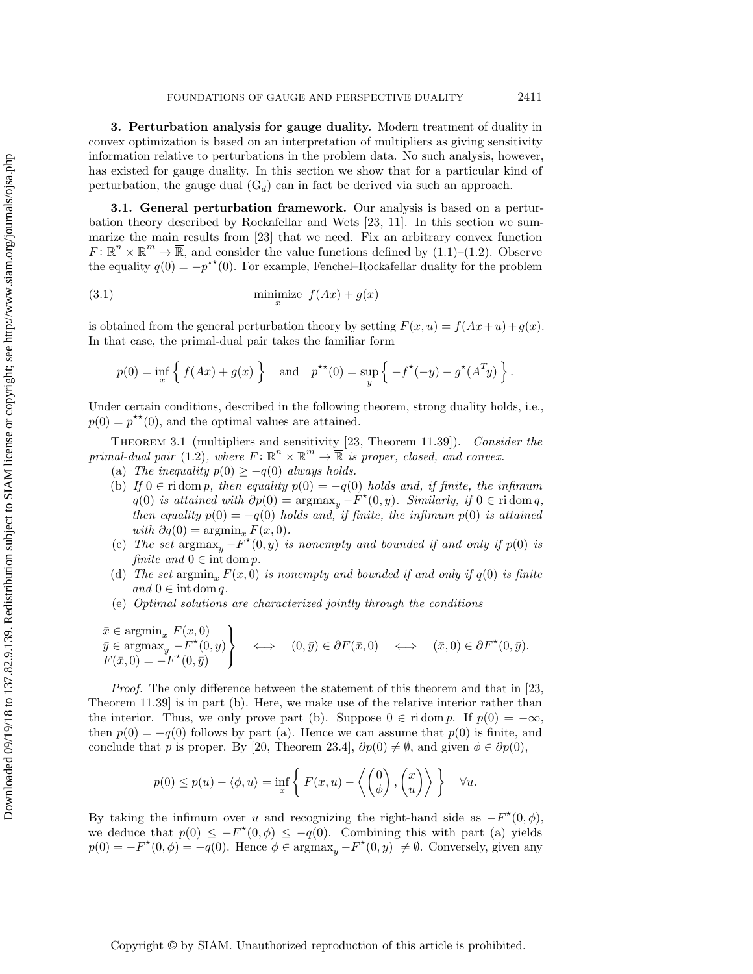<span id="page-5-0"></span>3. Perturbation analysis for gauge duality. Modern treatment of duality in convex optimization is based on an interpretation of multipliers as giving sensitivity information relative to perturbations in the problem data. No such analysis, however, has existed for gauge duality. In this section we show that for a particular kind of perturbation, the gauge dual  $(G_d)$  $(G_d)$  can in fact be derived via such an approach.

3.1. General perturbation framework. Our analysis is based on a perturbation theory described by Rockafellar and Wets [\[23,](#page-28-13) 11]. In this section we summarize the main results from [\[23\]](#page-28-13) that we need. Fix an arbitrary convex function  $F: \mathbb{R}^n \times \mathbb{R}^m \to \overline{\mathbb{R}}$ , and consider the value functions defined by [\(1.1\)](#page-2-0)-[\(1.2\)](#page-2-1). Observe the equality  $q(0) = -p^{\star \star} (0)$ . For example, Fenchel-Rockafellar duality for the problem

(3.1) 
$$
\min_{x} \text{size } f(Ax) + g(x)
$$

is obtained from the general perturbation theory by setting  $F(x, u) = f(Ax+u) + g(x)$ . In that case, the primal-dual pair takes the familiar form

<span id="page-5-3"></span>
$$
p(0) = \inf_{x} \left\{ f(Ax) + g(x) \right\}
$$
 and  $p^{\star\star}(0) = \sup_{y} \left\{ -f^{\star}(-y) - g^{\star}(A^{T}y) \right\}.$ 

Under certain conditions, described in the following theorem, strong duality holds, i.e.,  $p(0) = p^{\star \star} (0)$ , and the optimal values are attained.

<span id="page-5-2"></span>THEOREM 3.1 (multipliers and sensitivity [\[23,](#page-28-13) Theorem 11.39]). Consider the primal-dual pair [\(1.2\)](#page-2-1), where  $F: \mathbb{R}^n \times \mathbb{R}^m \to \overline{\mathbb{R}}$  is proper, closed, and convex.

- <span id="page-5-1"></span>(a) The inequality  $p(0) \geq -q(0)$  always holds.
- (b) If  $0 \in \text{ri} \, \text{dom } p$ , then equality  $p(0) = -q(0)$  holds and, if finite, the infimum  $q(0)$  is attained with  $\partial p(0) = \text{argmax}_y - F^{\star}(0, y)$ . Similarly, if  $0 \in \text{ri} \text{ dom } q$ , then equality  $p(0) = -q(0)$  holds and, if finite, the infimum  $p(0)$  is attained with  $\partial q(0) = \operatorname{argmin}_x F(x, 0)$ .
- (c) The set  $\argmax_y \tilde{F}^{\star}(0, y)$  is nonempty and bounded if and only if  $p(0)$  is finite and  $0 \in \text{int dom } p$ .
- (d) The set argmin<sub>x</sub>  $F(x, 0)$  is nonempty and bounded if and only if  $q(0)$  is finite and  $0 \in \text{int dom } q$ .
- (e) Optimal solutions are characterized jointly through the conditions

 $\bar{x} \in \operatorname{argmin}_x F(x, 0)$  $\Gamma$  $\mathcal{L}$ 

 $\bar{y} \in \operatorname{argmax}_{y} - F^{\star}(0, y)$  $F(\bar{x}, 0) = -F^{\star}(0, \bar{y})$ J  $\Longleftrightarrow \quad (0, \bar{y}) \in \partial F(\bar{x}, 0) \quad \Longleftrightarrow \quad (\bar{x}, 0) \in \partial F^\star (0, \bar{y}).$ 

Proof. The only difference between the statement of this theorem and that in [\[23,](#page-28-13) Theorem 11.39] is in part (b). Here, we make use of the relative interior rather than the interior. Thus, we only prove part (b). Suppose  $0 \in \text{ri dom } p$ . If  $p(0) = - \infty$ , then  $p(0) = -q(0)$  follows by part [\(a\).](#page-5-1) Hence we can assume that  $p(0)$  is finite, and conclude that p is proper. By [\[20,](#page-28-11) Theorem 23.4],  $\partial p(0) \neq \emptyset$ , and given  $\phi \in \partial p(0)$ ,

$$
p(0) \le p(u) - \langle \phi, u \rangle = \inf_{x} \left\{ F(x, u) - \left\langle \begin{pmatrix} 0 \\ \phi \end{pmatrix}, \begin{pmatrix} x \\ u \end{pmatrix} \right\rangle \right\} \quad \forall u.
$$

By taking the infimum over u and recognizing the right-hand side as  $-F^*(0, \phi)$ , we deduce that  $p(0) \leq -F^*(0, \phi) \leq -q(0)$ . Combining this with part (a) yields  $p(0) = -F^*(0, \phi) = -q(0)$ . Hence  $\phi \in \operatorname{argmax}_y - F^*(0, y) \neq \emptyset$ . Conversely, given any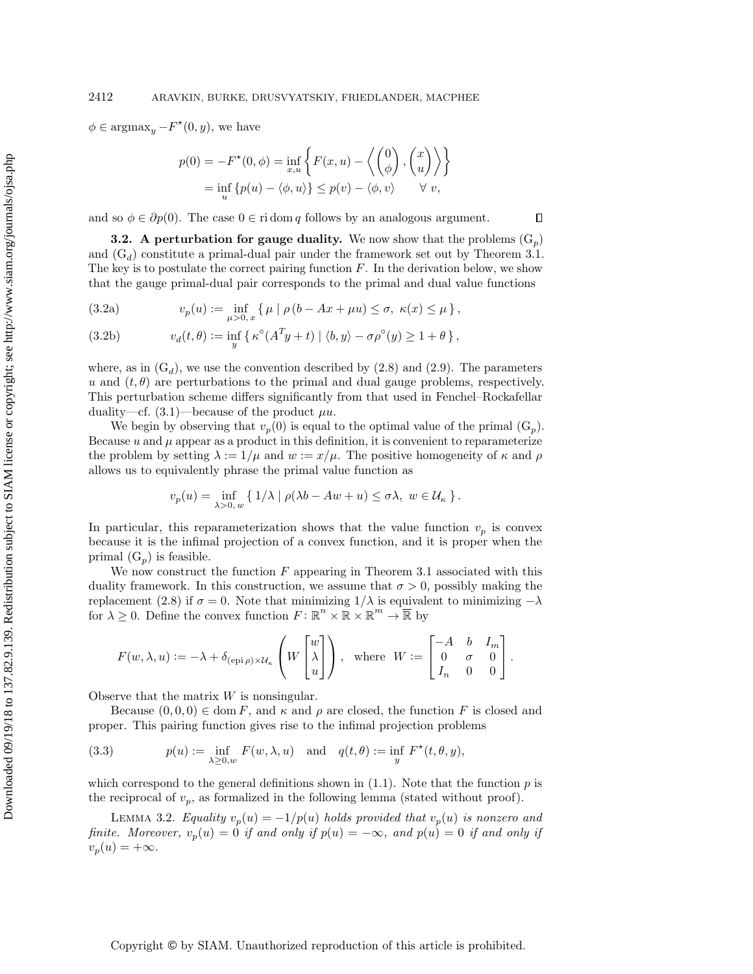$\phi \in \text{argmax}_y - F^*(0, y)$ , we have

$$
p(0) = -F^*(0, \phi) = \inf_{x, u} \left\{ F(x, u) - \left\langle \begin{pmatrix} 0 \\ \phi \end{pmatrix}, \begin{pmatrix} x \\ u \end{pmatrix} \right\rangle \right\}
$$
  
=  $\inf_u \left\{ p(u) - \langle \phi, u \rangle \right\} \le p(v) - \langle \phi, v \rangle \qquad \forall v,$ 

and so  $\phi \in \partial p(0)$ . The case  $0 \in \text{ri} \text{ dom } q$  follows by an analogous argument.

<span id="page-6-0"></span>**3.2.** A perturbation for gauge duality. We now show that the problems  $(G_p)$ and  $(G_d)$  constitute a primal-dual pair under the framework set out by [Theorem 3.1.](#page-5-2) The key is to postulate the correct pairing function  $F$ . In the derivation below, we show that the gauge primal-dual pair corresponds to the primal and dual value functions

(3.2a) 
$$
v_p(u) := \inf_{\mu > 0, x} \{ \mu \mid \rho (b - Ax + \mu u) \le \sigma, \ \kappa(x) \le \mu \},
$$

<span id="page-6-1"></span>(3.2b) 
$$
v_d(t,\theta) := \inf_y \{ \kappa^{\circ}(A^T y + t) \mid \langle b, y \rangle - \sigma \rho^{\circ}(y) \ge 1 + \theta \},
$$

where, as in  $(G_d)$  $(G_d)$ , we use the convention described by  $(2.8)$  and  $(2.9)$ . The parameters u and  $(t, \theta)$  are perturbations to the primal and dual gauge problems, respectively. This perturbation scheme differs significantly from that used in Fenchel--Rockafellar duality—cf.  $(3.1)$ —because of the product  $\mu u$ .

We begin by observing that  $v_p(0)$  is equal to the optimal value of the primal  $(G_p)$ . Because  $u$  and  $\mu$  appear as a product in this definition, it is convenient to reparameterize the problem by setting  $\lambda := 1/\mu$  and  $w := x/\mu$ . The positive homogeneity of  $\kappa$  and  $\rho$ allows us to equivalently phrase the primal value function as

$$
v_p(u) = \inf_{\lambda > 0, w} \{ 1/\lambda \mid \rho(\lambda b - Aw + u) \le \sigma \lambda, w \in \mathcal{U}_\kappa \}.
$$

In particular, this reparameterization shows that the value function  $v_p$  is convex because it is the infimal projection of a convex function, and it is proper when the primal  $(G_p)$  is feasible.

We now construct the function  $F$  appearing in [Theorem 3.1](#page-5-2) associated with this duality framework. In this construction, we assume that  $\sigma > 0$ , possibly making the replacement [\(2.8\)](#page-4-2) if  $\sigma = 0$ . Note that minimizing  $1/\lambda$  is equivalent to minimizing  $-\lambda$ for  $\lambda \geq 0$ . Define the convex function  $F : \mathbb{R}^n \times \overline{\mathbb{R}} \times \mathbb{R}^m \to \overline{\mathbb{R}}$  by

$$
F(w, \lambda, u) := -\lambda + \delta_{(\text{epi}\,\rho) \times \mathcal{U}_\kappa} \left( W \begin{bmatrix} w \\ \lambda \\ u \end{bmatrix} \right), \text{ where } W := \begin{bmatrix} -A & b & I_m \\ 0 & \sigma & 0 \\ I_n & 0 & 0 \end{bmatrix}.
$$

Observe that the matrix  $W$  is nonsingular.

Because  $(0, 0, 0) \in \text{dom } F$ , and  $\kappa$  and  $\rho$  are closed, the function F is closed and proper. This pairing function gives rise to the infimal projection problems

<span id="page-6-2"></span>(3.3) 
$$
p(u) := \inf_{\lambda \ge 0, w} F(w, \lambda, u) \text{ and } q(t, \theta) := \inf_{y} F^*(t, \theta, y),
$$

which correspond to the general definitions shown in  $(1.1)$ . Note that the function  $p$  is the reciprocal of  $v_p$ , as formalized in the following lemma (stated without proof).

<span id="page-6-3"></span>LEMMA 3.2. Equality  $v_p(u) = -1/p(u)$  holds provided that  $v_p(u)$  is nonzero and finite. Moreover,  $v_p(u) = 0$  if and only if  $p(u) = -\infty$ , and  $p(u) = 0$  if and only if  $v_p(u) = +\infty$ .

 $\Box$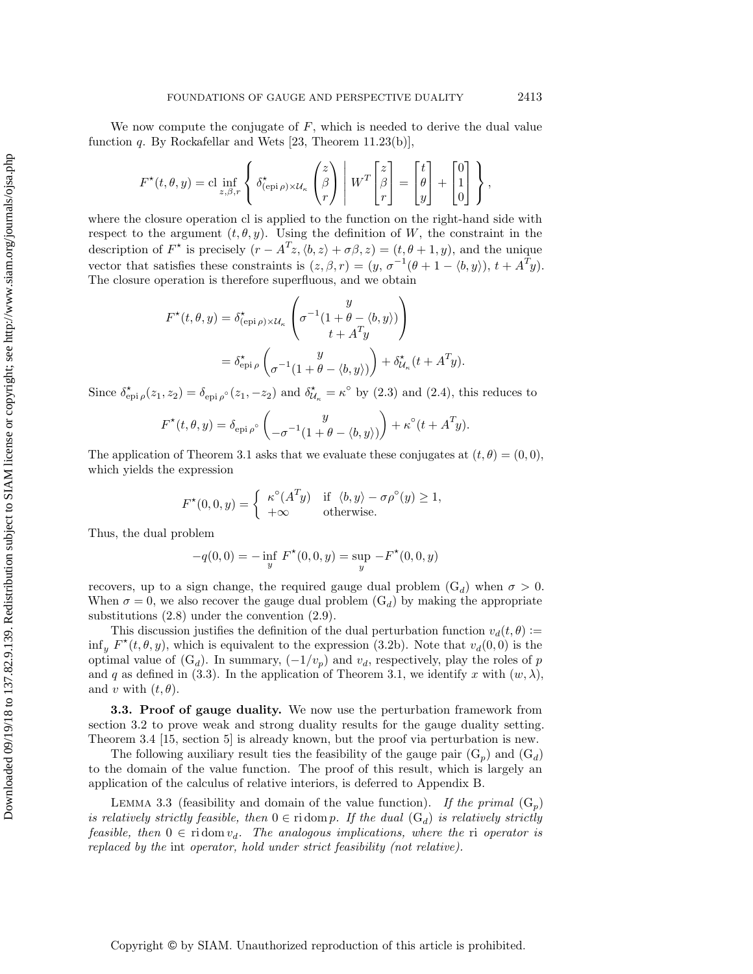We now compute the conjugate of  $F$ , which is needed to derive the dual value function  $q$ . By Rockafellar and Wets [\[23,](#page-28-13) Theorem 11.23(b)],

$$
F^{\star}(t,\theta,y) = \mathrm{cl} \inf_{z,\beta,r} \left\{ \delta^{\star}_{(\mathrm{epi}\,\rho)\times\mathcal{U}_{\kappa}}\begin{pmatrix} z \\ \beta \\ r \end{pmatrix} \middle| W^T \begin{bmatrix} z \\ \beta \\ r \end{bmatrix} = \begin{bmatrix} t \\ \theta \\ y \end{bmatrix} + \begin{bmatrix} 0 \\ 1 \\ 0 \end{bmatrix} \right\},\,
$$

where the closure operation cl is applied to the function on the right-hand side with respect to the argument  $(t, \theta, y)$ . Using the definition of W, the constraint in the description of  $F^*$  is precisely  $(r - A^T z, \langle b, z \rangle + \sigma \beta, z) = (t, \theta + 1, y)$ , and the unique vector that satisfies these constraints is  $(z, \beta, r) = (y, \sigma^{-1}(\theta + 1 - \langle b, y \rangle), t + A^{T}y)$ . The closure operation is therefore superfluous, and we obtain

$$
F^{\star}(t, \theta, y) = \delta_{(\text{epi}\,\rho)\times\mathcal{U}_{\kappa}}^{\star} \left( \sigma^{-1} \left( 1 + \theta - \langle b, y \rangle \right) \right)
$$
  

$$
= \delta_{\text{epi}\,\rho}^{\star} \left( \sigma^{-1} \left( 1 + \theta - \langle b, y \rangle \right) \right) + \delta_{\mathcal{U}_{\kappa}}^{\star} (t + A^{T}y).
$$

Since  $\delta_{\text{epi}\,\rho}^{\star}(z_1, z_2) = \delta_{\text{epi}\,\rho}^{\star}(z_1, -z_2)$  and  $\delta_{\mathcal{U}_{\kappa}}^{\star} = \kappa^{\circ}$  by [\(2.3\)](#page-3-2) and [\(2.4\)](#page-3-3), this reduces to

$$
F^{\star}(t,\theta,y) = \delta_{\text{epi}\,\rho^{\circ}}\begin{pmatrix} y \\ -\sigma^{-1}(1+\theta-\langle b,y\rangle) \end{pmatrix} + \kappa^{\circ}(t+A^T y).
$$

The application of [Theorem 3.1](#page-5-2) asks that we evaluate these conjugates at  $(t, \theta) = (0, 0)$ , which yields the expression

$$
F^*(0,0,y) = \begin{cases} \kappa^{\circ}(A^T y) & \text{if } \langle b, y \rangle - \sigma \rho^{\circ}(y) \ge 1, \\ +\infty & \text{otherwise.} \end{cases}
$$

Thus, the dual problem

$$
-q(0,0) = -\inf_{y} F^{\star}(0,0,y) = \sup_{y} -F^{\star}(0,0,y)
$$

recovers, up to a sign change, the required gauge dual problem  $(G_d)$  $(G_d)$  when  $\sigma > 0$ . When  $\sigma = 0$ , we also recover the gauge dual problem  $(G_d)$  $(G_d)$  by making the appropriate substitutions [\(2.8\)](#page-4-2) under the convention [\(2.9\)](#page-4-3).

This discussion justifies the definition of the dual perturbation function  $v_d(t, \theta) :=$ inf<sub>y</sub>  $F^*(t, \theta, y)$ , which is equivalent to the expression [\(3.2b\)](#page-6-1). Note that  $v_d(0, 0)$  is the optimal value of  $(G_d)$  $(G_d)$ . In summary,  $(-1/v_p)$  and  $v_d$ , respectively, play the roles of p and q as defined in [\(3.3\)](#page-6-2). In the application of [Theorem 3.1,](#page-5-2) we identify x with  $(w, \lambda )$ , and v with  $(t, \theta)$ .

**3.3. Proof of gauge duality.** We now use the perturbation framework from [section 3.2](#page-6-0) to prove weak and strong duality results for the gauge duality setting. [Theorem 3.4](#page-8-0) [\[15,](#page-28-1) section 5] is already known, but the proof via perturbation is new.

The following auxiliary result ties the feasibility of the gauge pair  $(G_p)$  $(G_p)$  and  $(G_d)$ to the domain of the value function. The proof of this result, which is largely an application of the calculus of relative interiors, is deferred to [Appendix B.](#page-26-1)

<span id="page-7-0"></span>LEMMA 3.3 (feasibility and domain of the value function). If the primal  $(G_p)$  $(G_p)$ is relatively strictly feasible, then  $0 \in \text{ri} \,\text{dom} \, p$ . If the dual  $(G_d)$  $(G_d)$  is relatively strictly feasible, then  $0 \in \text{ri} \, \text{dom } v_d$ . The analogous implications, where the ri operator is replaced by the int operator, hold under strict feasibility (not relative).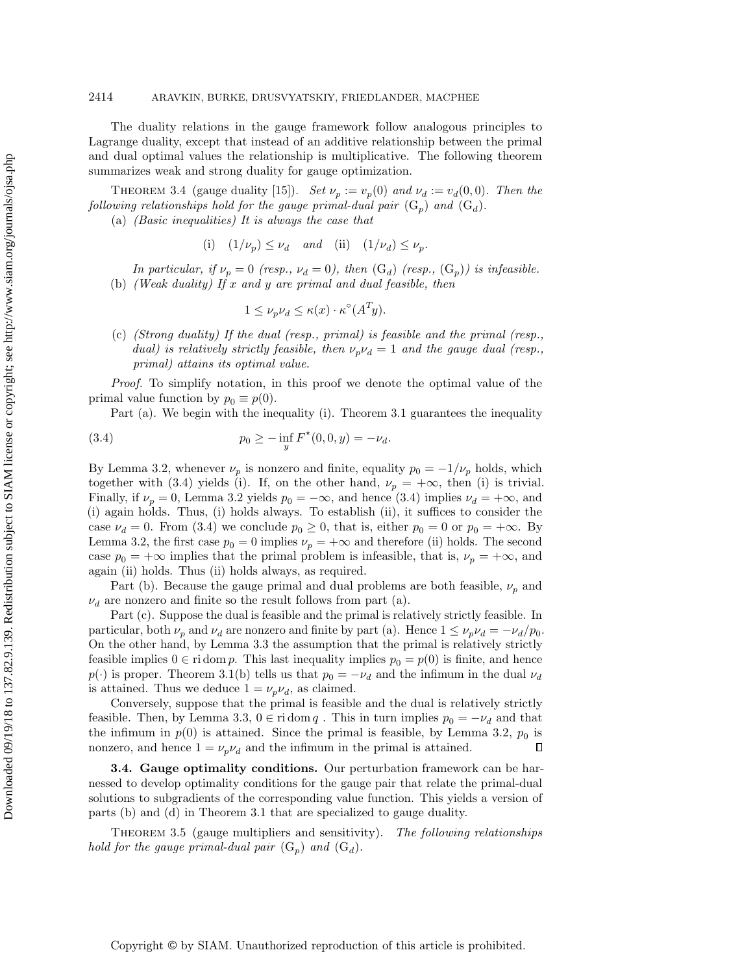The duality relations in the gauge framework follow analogous principles to Lagrange duality, except that instead of an additive relationship between the primal and dual optimal values the relationship is multiplicative. The following theorem summarizes weak and strong duality for gauge optimization.

<span id="page-8-0"></span>THEOREM 3.4 (gauge duality [\[15\]](#page-28-1)). Set  $\nu_p := v_p(0)$  and  $\nu_d := v_d(0, 0)$ . Then the following relationships hold for the gauge primal-dual pair  $(G_p)$  $(G_p)$  and  $(G_d)$ .

(a) (Basic inequalities) It is always the case that

(i) 
$$
(1/\nu_p) \leq \nu_d
$$
 and (ii)  $(1/\nu_d) \leq \nu_p$ .

In particular, if  $\nu_p = 0$  (resp.,  $\nu_d = 0$ ), then  $(G_d)$  $(G_d)$  (resp.,  $(G_p)$ ) is infeasible. (b) (Weak duality) If  $x$  and  $y$  are primal and dual feasible, then

<span id="page-8-1"></span>
$$
1 \le \nu_p \nu_d \le \kappa(x) \cdot \kappa^{\circ}(A^T y).
$$

(c) (Strong duality) If the dual (resp., primal) is feasible and the primal (resp., dual) is relatively strictly feasible, then  $\nu_p\nu_d = 1$  and the gauge dual (resp., primal) attains its optimal value.

Proof. To simplify notation, in this proof we denote the optimal value of the primal value function by  $p_0 \equiv p(0)$ .

Part (a). We begin with the inequality (i). [Theorem 3.1](#page-5-2) guarantees the inequality

(3.4) 
$$
p_0 \ge - \inf_y F^\star(0,0,y) = -\nu_d.
$$

By [Lemma 3.2,](#page-6-3) whenever  $\nu_p$  is nonzero and finite, equality  $p_0 = -1/\nu_p$  holds, which together with [\(3.4\)](#page-8-1) yields (i). If, on the other hand,  $\nu_p = +\infty$ , then (i) is trivial. Finally, if  $\nu_p = 0$ , [Lemma 3.2](#page-6-3) yields  $p_0 = -\infty$ , and hence [\(3.4\)](#page-8-1) implies  $\nu_d = +\infty$ , and (i) again holds. Thus, (i) holds always. To establish (ii), it suffices to consider the case  $\nu_d = 0$ . From [\(3.4\)](#page-8-1) we conclude  $p_0 \geq 0$ , that is, either  $p_0 = 0$  or  $p_0 = +\infty$ . By [Lemma 3.2,](#page-6-3) the first case  $p_0 = 0$  implies  $\nu_p = +\infty$  and therefore (ii) holds. The second case  $p_0 = +\infty$  implies that the primal problem is infeasible, that is,  $\nu_p = +\infty$ , and again (ii) holds. Thus (ii) holds always, as required.

Part (b). Because the gauge primal and dual problems are both feasible,  $\nu_p$  and  $\nu_d$  are nonzero and finite so the result follows from part (a).

Part (c). Suppose the dual is feasible and the primal is relatively strictly feasible. In particular, both  $\nu_p$  and  $\nu_d$  are nonzero and finite by part (a). Hence  $1 \leq \nu_p \nu_d = - \nu_d/p_0$ . On the other hand, by [Lemma 3.3](#page-7-0) the assumption that the primal is relatively strictly feasible implies  $0 \in \text{ri dom } p$ . This last inequality implies  $p_0 = p(0)$  is finite, and hence  $p(\cdot )$  is proper. [Theorem 3.1\(](#page-5-2)b) tells us that  $p_0 = - \nu_d$  and the infimum in the dual  $\nu_d$ is attained. Thus we deduce  $1 = \nu_p \nu_d$ , as claimed.

Conversely, suppose that the primal is feasible and the dual is relatively strictly feasible. Then, by [Lemma 3.3,](#page-7-0)  $0 \in \text{ri dom } q$ . This in turn implies  $p_0 = - \nu_d$  and that the infimum in  $p(0)$  is attained. Since the primal is feasible, by [Lemma 3.2,](#page-6-3)  $p_0$  is  $\Box$ nonzero, and hence  $1 = \nu_p \nu_d$  and the infimum in the primal is attained.

3.4. Gauge optimality conditions. Our perturbation framework can be harnessed to develop optimality conditions for the gauge pair that relate the primal-dual solutions to subgradients of the corresponding value function. This yields a version of parts (b) and (d) in [Theorem 3.1](#page-5-2) that are specialized to gauge duality.

<span id="page-8-2"></span>THEOREM 3.5 (gauge multipliers and sensitivity). The following relationships hold for the gauge primal-dual pair  $(G_p)$  $(G_p)$  and  $(G_d)$ .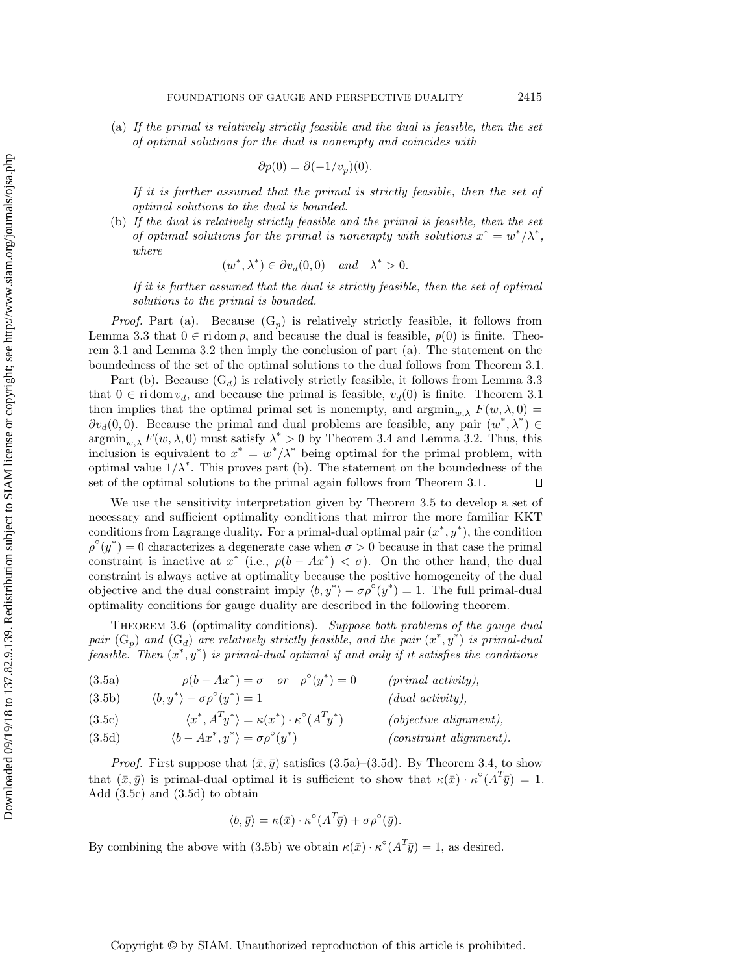(a) If the primal is relatively strictly feasible and the dual is feasible, then the set of optimal solutions for the dual is nonempty and coincides with

$$
\partial p(0) = \partial (-1/v_p)(0).
$$

If it is further assumed that the primal is strictly feasible, then the set of optimal solutions to the dual is bounded.

(b) If the dual is relatively strictly feasible and the primal is feasible, then the set of optimal solutions for the primal is nonempty with solutions  $x^* = w^* / \lambda^*$ , where

$$
(w^*, \lambda^*) \in \partial v_d(0,0) \quad and \quad \lambda^* > 0.
$$

If it is further assumed that the dual is strictly feasible, then the set of optimal solutions to the primal is bounded.

*Proof.* Part (a). Because  $(G_p)$  $(G_p)$  is relatively strictly feasible, it follows from [Lemma 3.3](#page-7-0) that  $0 \in \text{ri dom } p$ , and because the dual is feasible,  $p(0)$  is finite. [Theo](#page-5-2)[rem 3.1](#page-5-2) and [Lemma 3.2](#page-6-3) then imply the conclusion of part (a). The statement on the boundedness of the set of the optimal solutions to the dual follows from [Theorem 3.1.](#page-5-2)

Part (b). Because  $(G_d)$  $(G_d)$  is relatively strictly feasible, it follows from [Lemma 3.3](#page-7-0) that  $0 \in \text{ri}\,\text{dom}\, v_d$ , and because the primal is feasible,  $v_d(0)$  is finite. [Theorem 3.1](#page-5-2) then implies that the optimal primal set is nonempty, and  $\operatorname{argmin}_{w, \lambda} F(w, \lambda, 0) =$  $\partial v_d(0, 0)$ . Because the primal and dual problems are feasible, any pair  $(w^*, \lambda^*) \in$  $\operatorname{argmin}_{w, \lambda} F(w, \lambda, 0)$  must satisfy  $\lambda^* > 0$  by [Theorem 3.4](#page-8-0) and [Lemma 3.2.](#page-6-3) Thus, this inclusion is equivalent to  $x^* = w^* / \lambda^*$  being optimal for the primal problem, with optimal value  $1/\lambda^*$ . This proves part (b). The statement on the boundedness of the set of the optimal solutions to the primal again follows from [Theorem 3.1.](#page-5-2)  $\Box$ 

We use the sensitivity interpretation given by [Theorem 3.5](#page-8-2) to develop a set of necessary and sufficient optimality conditions that mirror the more familiar KKT conditions from Lagrange duality. For a primal-dual optimal pair  $(x^*, y^*)$ , the condition  $\rho^{\circ}(y^*) = 0$  characterizes a degenerate case when  $\sigma > 0$  because in that case the primal constraint is inactive at  $x^*$  (i.e.,  $\rho (b - Ax^*) < \sigma$ ). On the other hand, the dual constraint is always active at optimality because the positive homogeneity of the dual objective and the dual constraint imply  $\langle b, y^* \rangle - \sigma \rho^{\circ}(y^*) = 1$ . The full primal-dual optimality conditions for gauge duality are described in the following theorem.

<span id="page-9-4"></span>THEOREM 3.6 (optimality conditions). Suppose both problems of the gauge dual pair  $(G_p)$  $(G_p)$  and  $(G_d)$  are relatively strictly feasible, and the pair  $(x^*, y^*)$  is primal-dual feasible. Then  $(x^*, y^*)$  is primal-dual optimal if and only if it satisfies the conditions

<span id="page-9-3"></span><span id="page-9-0"></span>

| (3.5a) | $\rho(b - Ax^*) = \sigma \quad or \quad \rho^{\circ}(y^*) = 0$ |  | $(primal\ activity)$ , |
|--------|----------------------------------------------------------------|--|------------------------|
| (3.5b) | $\langle b, y^* \rangle - \sigma \rho^{\circ}(y^*) = 1$        |  | (dual activity),       |

<span id="page-9-2"></span>(3.56) 
$$
\langle v, y \rangle = o \rho \quad (y \rangle = 1
$$
 (and activity),  
(3.5c) 
$$
\langle x^*, A^T y^* \rangle = \kappa(x^*) \cdot \kappa^{\circ}(A^T y^*)
$$
 (objective alignment),

<span id="page-9-1"></span>(3.5d) 
$$
\langle b - Ax^*, y^* \rangle = \sigma \rho^{\circ}(y^*)
$$
 (constraint alignment).

*Proof.* First suppose that  $(\bar{x}, \bar{y})$  satisfies [\(3.5a\)](#page-9-0)-[\(3.5d\)](#page-9-1). By [Theorem 3.4,](#page-8-0) to show that  $(\bar x, \bar y)$  is primal-dual optimal it is sufficient to show that  $\kappa (\bar x) \cdot \kappa^\circ (A^T \bar y) = 1$ . Add [\(3.5c\)](#page-9-2) and [\(3.5d\)](#page-9-1) to obtain

$$
\langle b, \bar{y} \rangle = \kappa(\bar{x}) \cdot \kappa^{\circ} (A^T \bar{y}) + \sigma \rho^{\circ}(\bar{y}).
$$

By combining the above with [\(3.5b\)](#page-9-3) we obtain  $\kappa (\bar x) \cdot \kappa^\circ (A^T \bar y) = 1$ , as desired.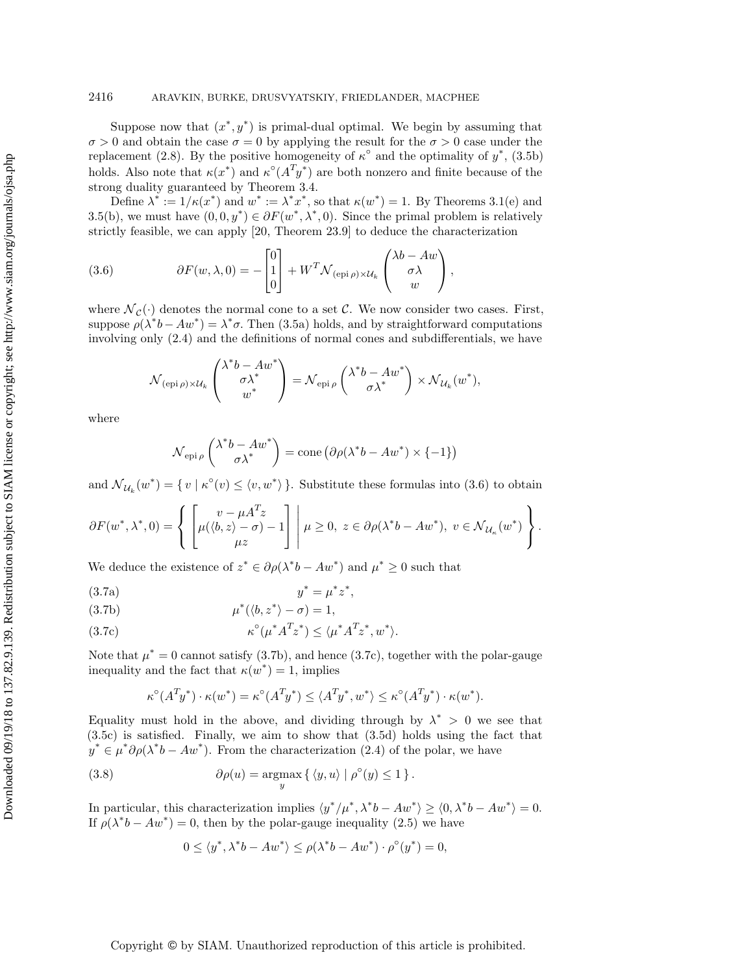Suppose now that  $(x^*, y^*)$  is primal-dual optimal. We begin by assuming that  $\sigma > 0$  and obtain the case  $\sigma = 0$  by applying the result for the  $\sigma > 0$  case under the replacement [\(2.8\)](#page-4-2). By the positive homogeneity of  $\kappa^{\circ}$  and the optimality of  $y^*$ , [\(3.5b\)](#page-9-3) holds. Also note that  $\kappa (x^*)$  and  $\kappa^{\circ}(A^T y^*)$  are both nonzero and finite because of the strong duality guaranteed by [Theorem 3.4.](#page-8-0)

Define  $\lambda^* := 1/\kappa (x^*)$  and  $w^* := \lambda^* x^*$ , so that  $\kappa (w^*) = 1$ . By Theorems [3.1\(](#page-5-2)e) and [3.5\(](#page-8-2)b), we must have  $(0, 0, y^*) \in \partial F(w^*, \lambda^*, 0)$ . Since the primal problem is relatively strictly feasible, we can apply [\[20,](#page-28-11) Theorem 23.9] to deduce the characterization

<span id="page-10-0"></span>(3.6) 
$$
\partial F(w, \lambda, 0) = -\begin{bmatrix} 0 \\ 1 \\ 0 \end{bmatrix} + W^T \mathcal{N}_{(\text{epi}\,\rho) \times \mathcal{U}_k} \begin{pmatrix} \lambda b - Aw \\ \sigma \lambda \\ w \end{pmatrix},
$$

where  $\mathcal{N}_c (\cdot )$  denotes the normal cone to a set C. We now consider two cases. First, suppose  $\rho(\lambda^* b - Aw^*) = \lambda^* \sigma$ . Then [\(3.5a\)](#page-9-0) holds, and by straightforward computations involving only [\(2.4\)](#page-3-3) and the definitions of normal cones and subdifferentials, we have

$$
\mathcal{N}_{(\operatorname{epi}\rho)\times \mathcal{U}_k}\begin{pmatrix} \lambda^*b-Aw^* \\ \sigma\lambda^* \\ w^* \end{pmatrix}=\mathcal{N}_{\operatorname{epi}\rho}\begin{pmatrix} \lambda^*b-Aw^* \\ \sigma\lambda^* \end{pmatrix}\times \mathcal{N}_{\mathcal{U}_k}(w^*),
$$

where

$$
\mathcal{N}_{\text{epi}\,\rho} \begin{pmatrix} \lambda^* b - A w^* \\ \sigma \lambda^* \end{pmatrix} = \text{cone} \left( \partial \rho (\lambda^* b - A w^*) \times \{-1\} \right)
$$

and  $\mathcal{N}_{\mathcal{U}_k}(w^*) = \{ v \mid \kappa^{\circ}(v) \leq \langle v, w^* \rangle \}$ . Substitute these formulas into [\(3.6\)](#page-10-0) to obtain

$$
\partial F(w^*, \lambda^*, 0) = \left\{ \begin{bmatrix} v - \mu A^T z \\ \mu(\langle b, z \rangle - \sigma) - 1 \\ \mu z \end{bmatrix} \middle| \mu \ge 0, \ z \in \partial \rho(\lambda^* b - A w^*), \ v \in \mathcal{N}_{\mathcal{U}_\kappa}(w^*) \right\}.
$$

We deduce the existence of  $z^* \in \partial \rho (\lambda^* b - A w^*)$  and  $\mu^* \geq 0$  such that

(3.7a) 
$$
y^* = \mu^* z^*,
$$

<span id="page-10-1"></span>(3.7b) 
$$
\mu^*(\langle b, z^* \rangle - \sigma) = 1,
$$

<span id="page-10-2"></span>
$$
\kappa^{\circ}(\mu^* A^T z^*) \le \langle \mu^* A^T z^*, w^* \rangle.
$$

Note that  $\mu^* = 0$  cannot satisfy [\(3.7b\)](#page-10-1), and hence [\(3.7c\)](#page-10-2), together with the polar-gauge inequality and the fact that  $\kappa (w^*) = 1$ , implies

$$
\kappa^{\circ}(A^T y^*) \cdot \kappa(w^*) = \kappa^{\circ}(A^T y^*) \le \langle A^T y^*, w^* \rangle \le \kappa^{\circ}(A^T y^*) \cdot \kappa(w^*).
$$

Equality must hold in the above, and dividing through by  $\lambda^* > 0$  we see that [\(3.5c\)](#page-9-2) is satisfied. Finally, we aim to show that [\(3.5d\)](#page-9-1) holds using the fact that  $\hat{y}^* \in \mu^* \partial \rho (\lambda^* b - A w^*)$ . From the characterization [\(2.4\)](#page-3-3) of the polar, we have

(3.8) 
$$
\partial \rho(u) = \operatorname*{argmax}_{y} \left\{ \langle y, u \rangle \mid \rho^{\circ}(y) \leq 1 \right\}.
$$

In particular, this characterization implies  $\langle y^*/\mu^*, \lambda^* b - A w^* \rangle \geq \langle 0, \lambda^* b - A w^* \rangle = 0$ . If  $\rho (\lambda^* b - A w^*) = 0$ , then by the polar-gauge inequality [\(2.5\)](#page-3-4) we have

<span id="page-10-3"></span>
$$
0 \le \langle y^*, \lambda^* b - A w^* \rangle \le \rho(\lambda^* b - A w^*) \cdot \rho^{\circ}(y^*) = 0,
$$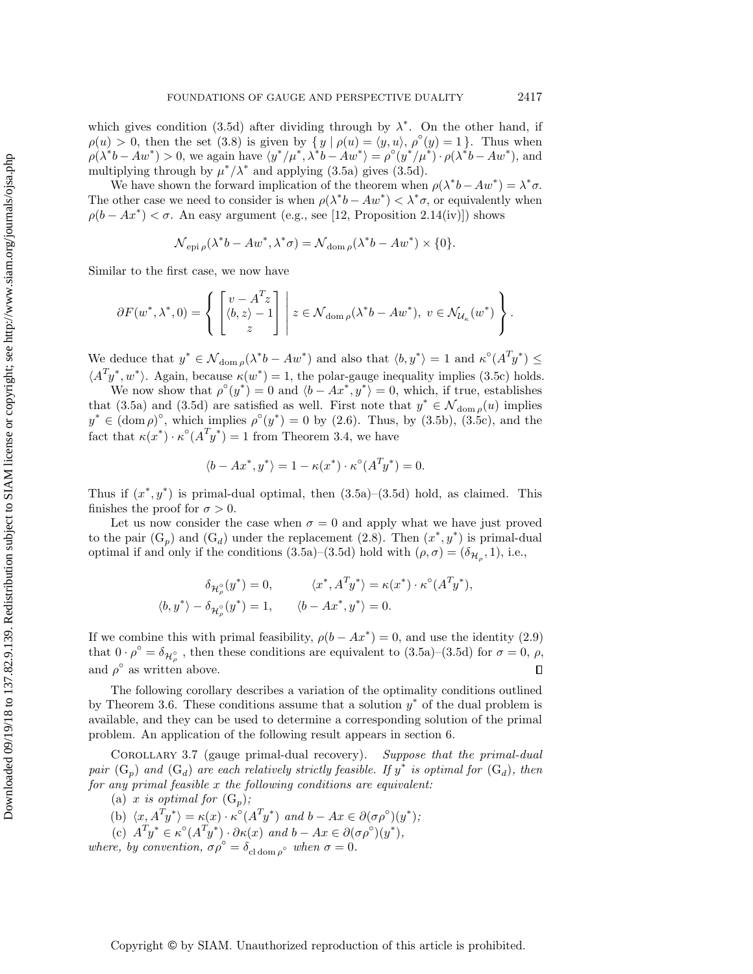which gives condition [\(3.5d\)](#page-9-1) after dividing through by  $\lambda^*$ . On the other hand, if  $\rho (u) > 0$ , then the set  $(3.8)$  is given by  $\{ y \mid \rho (u) = \langle y, u \rangle, \rho^{\circ} (y) = 1 \}$ . Thus when  $\rho(\lambda^*b - Aw^*) > 0$ , we again have  $\langle y^*/\mu^*, \lambda^*b - Aw^* \rangle = \rho^{\circ}(y^*/\mu^*) \cdot \rho(\lambda^*b - Aw^*)$ , and multiplying through by  $\mu^*/\lambda^*$  and applying [\(3.5a\)](#page-9-0) gives [\(3.5d\)](#page-9-1).

We have shown the forward implication of the theorem when  $\rho (\lambda^* b - A w^*) = \lambda^* \sigma$ . The other case we need to consider is when  $\rho (\lambda^* b - A w^*) < \lambda^* \sigma$ , or equivalently when  $\rho (b - Ax^*) < \sigma$ . An easy argument (e.g., see [\[12,](#page-28-17) Proposition 2.14(iv)]) shows

$$
\mathcal{N}_{epi\rho}(\lambda^*b - Aw^*, \lambda^*\sigma) = \mathcal{N}_{\text{dom}\rho}(\lambda^*b - Aw^*) \times \{0\}.
$$

Similar to the first case, we now have

$$
\partial F(w^*, \lambda^*, 0) = \left\{ \begin{bmatrix} v - A^T z \\ \langle b, z \rangle - 1 \\ z \end{bmatrix} \, \middle| \, z \in \mathcal{N}_{\text{dom}\,\rho}(\lambda^* b - A w^*), \ v \in \mathcal{N}_{\mathcal{U}_\kappa}(w^*) \right\}.
$$

We deduce that  $y^* \in \mathcal{N}_{\text{dom }\rho}(\lambda^* b - A w^*)$  and also that  $\langle b, y^* \rangle = 1$  and  $\kappa^{\circ}(A^T y^*) \leq$  $\langle A^T y^*, w^* \rangle$ . Again, because  $\kappa (w^*) = 1$ , the polar-gauge inequality implies [\(3.5c\)](#page-9-2) holds.

We now show that  $\rho^{\circ}(y^*) = 0$  and  $\langle b - Ax^*, y^* \rangle = 0$ , which, if true, establishes that [\(3.5a\)](#page-9-0) and [\(3.5d\)](#page-9-1) are satisfied as well. First note that  $y^* \in \mathcal{N}_{\text{dom }\rho}(u)$  implies  $y^* \in (\text{dom }\rho)^\circ$ , which implies  $\rho^\circ(y^*) = 0$  by [\(2.6\).](#page-4-1) Thus, by [\(3.5b\)](#page-9-3), [\(3.5c\)](#page-9-2), and the fact that  $\kappa (x^*) \cdot \kappa^{\circ} (A^T y^*) = 1$  from [Theorem 3.4,](#page-8-0) we have

$$
\langle b - Ax^*, y^* \rangle = 1 - \kappa(x^*) \cdot \kappa^{\circ}(A^T y^*) = 0.
$$

Thus if  $(x^*, y^*)$  is primal-dual optimal, then  $(3.5a)-(3.5d)$  $(3.5a)-(3.5d)$  $(3.5a)-(3.5d)$  hold, as claimed. This finishes the proof for  $\sigma > 0$ .

Let us now consider the case when  $\sigma = 0$  and apply what we have just proved to the pair  $(G_p)$  $(G_p)$  and  $(G_d)$  under the replacement [\(2.8\)](#page-4-2). Then  $(x^*, y^*)$  is primal-dual optimal if and only if the conditions [\(3.5a\)](#page-9-0)–[\(3.5d\)](#page-9-1) hold with  $(\rho , \sigma ) = (\delta _{\mathcal{H} _{\rho }}, 1)$ , i.e.,

$$
\delta_{\mathcal{H}^{\circ}_{\rho}}(y^*) = 0, \qquad \langle x^*, A^T y^* \rangle = \kappa(x^*) \cdot \kappa^{\circ}(A^T y^*),
$$
  

$$
\langle b, y^* \rangle - \delta_{\mathcal{H}^{\circ}_{\rho}}(y^*) = 1, \qquad \langle b - Ax^*, y^* \rangle = 0.
$$

If we combine this with primal feasibility,  $\rho (b - Ax^*) = 0$ , and use the identity [\(2.9\)](#page-4-3) that  $0 \cdot \rho^{\circ} = \delta_{\mathcal{H}_{\rho}^{\circ}}$ , then these conditions are equivalent to [\(3.5a\)](#page-9-0)-[\(3.5d\)](#page-9-1) for  $\sigma = 0$ ,  $\rho$ , and  $\rho^{\circ}$  as written above.  $\Box$ 

The following corollary describes a variation of the optimality conditions outlined by [Theorem 3.6.](#page-9-4) These conditions assume that a solution  $y^*$  of the dual problem is available, and they can be used to determine a corresponding solution of the primal problem. An application of the following result appears in [section 6.](#page-22-0)

<span id="page-11-0"></span>Corollary 3.7 (gauge primal-dual recovery). Suppose that the primal-dual pair  $(G_p)$  $(G_p)$  and  $(G_d)$  are each relatively strictly feasible. If  $\hat{y}^*$  is optimal for  $(G_d)$ , then for any primal feasible  $x$  the following conditions are equivalent:

(a) x is optimal for  $(G_p)$  $(G_p)$ ;

(b) 
$$
\langle x, A^T y^* \rangle = \kappa(x) \cdot \kappa^{\circ} (A^T y^*)
$$
 and  $b - Ax \in \partial(\sigma \rho^{\circ})(y^*)$ ;

(c)  $A^T y^* \in \kappa^{\circ}(A^T y^*) \cdot \partial \kappa(x)$  and  $b - Ax \in \partial(\sigma \rho^{\circ})(y^*)$ ,

where, by convention,  $\sigma \rho^{\circ} = \delta_{\text{cl dom } \rho^{\circ}}$  when  $\sigma = 0$ .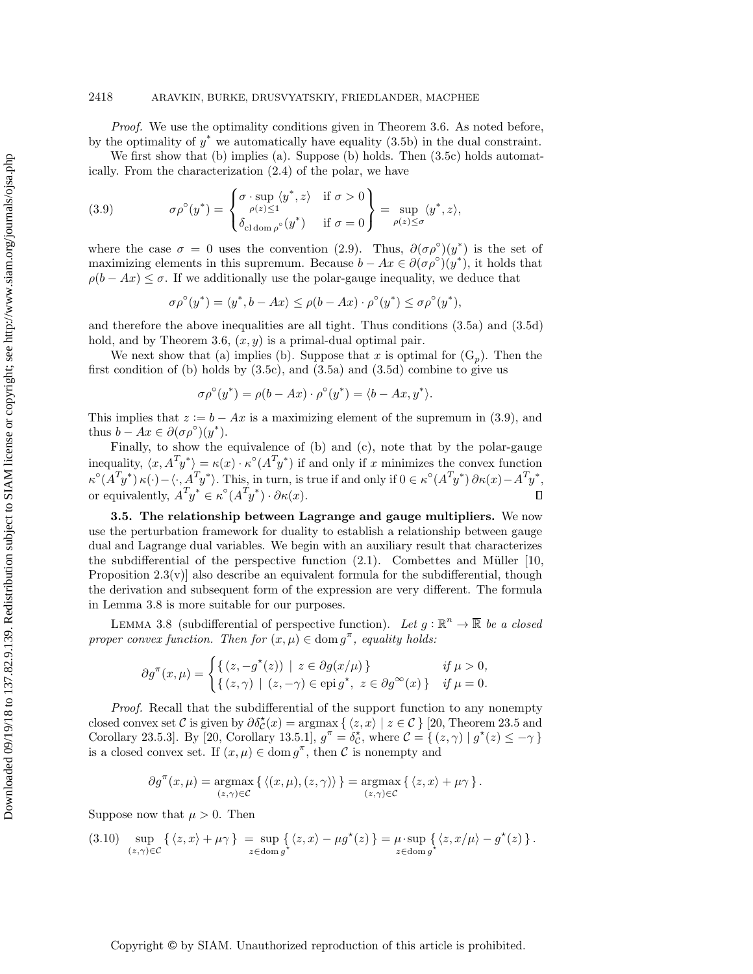## 2418 ARAVKIN, BURKE, DRUSVYATSKIY, FRIEDLANDER, MACPHEE

Proof. We use the optimality conditions given in [Theorem 3.6.](#page-9-4) As noted before, by the optimality of  $y^*$  we automatically have equality [\(3.5b\)](#page-9-3) in the dual constraint.

We first show that (b) implies (a). Suppose (b) holds. Then  $(3.5c)$  holds automatically. From the characterization [\(2.4\)](#page-3-3) of the polar, we have

<span id="page-12-1"></span>(3.9) 
$$
\sigma \rho^{\circ}(y^*) = \begin{cases} \sigma \cdot \sup_{\rho(z) \le 1} \langle y^*, z \rangle & \text{if } \sigma > 0 \\ \delta_{\text{cl dom}\,\rho^{\circ}}(y^*) & \text{if } \sigma = 0 \end{cases} = \sup_{\rho(z) \le \sigma} \langle y^*, z \rangle,
$$

where the case  $\sigma = 0$  uses the convention [\(2.9\)](#page-4-3). Thus,  $\partial (\sigma \rho^{\circ})(y^*)$  is the set of maximizing elements in this supremum. Because  $b - Ax \in \partial (\sigma \rho^{\circ})(y^*)$ , it holds that  $\rho (b - Ax) \leq \sigma$ . If we additionally use the polar-gauge inequality, we deduce that

$$
\sigma \rho^{\circ}(y^*) = \langle y^*, b - Ax \rangle \leq \rho(b - Ax) \cdot \rho^{\circ}(y^*) \leq \sigma \rho^{\circ}(y^*),
$$

and therefore the above inequalities are all tight. Thus conditions [\(3.5a\)](#page-9-0) and [\(3.5d\)](#page-9-1) hold, and by [Theorem 3.6,](#page-9-4)  $(x, y)$  is a primal-dual optimal pair.

We next show that (a) implies (b). Suppose that x is optimal for  $(G_p)$  $(G_p)$ . Then the first condition of (b) holds by  $(3.5c)$ , and  $(3.5a)$  and  $(3.5d)$  combine to give us

$$
\sigma \rho^{\circ}(y^*) = \rho(b - Ax) \cdot \rho^{\circ}(y^*) = \langle b - Ax, y^* \rangle.
$$

This implies that  $z := b - Ax$  is a maximizing element of the supremum in [\(3.9\)](#page-12-1), and thus  $b - Ax \in \partial (\sigma \rho^\circ)(y^*)$ .

Finally, to show the equivalence of (b) and (c), note that by the polar-gauge inequality,  $\langle x, A^T y^* \rangle = \kappa (x) \cdot \kappa^{\circ} (A^T y^*)$  if and only if x minimizes the convex function  $\kappa^{\circ}(A^T y^*) \kappa(\cdot) - \langle \cdot, A^T y^* \rangle$ . This, in turn, is true if and only if  $0 \in \kappa^{\circ}(A^T y^*) \partial \kappa(x) - A^T y^*$ , or equivalently,  $A^T y^* \in \kappa^{\circ}(A^T y^*) \cdot \partial \kappa(x)$ .  $\Box$ 

<span id="page-12-0"></span>3.5. The relationship between Lagrange and gauge multipliers. We now use the perturbation framework for duality to establish a relationship between gauge dual and Lagrange dual variables. We begin with an auxiliary result that characterizes the subdifferential of the perspective function  $(2.1)$ . Combettes and Müller [\[10,](#page-28-16) Proposition  $2.3(v)$  also describe an equivalent formula for the subdifferential, though the derivation and subsequent form of the expression are very different. The formula in [Lemma 3.8](#page-12-2) is more suitable for our purposes.

<span id="page-12-2"></span>LEMMA 3.8 (subdifferential of perspective function). Let  $g : \mathbb{R}^n \rightarrow \overline{\mathbb{R}}$  be a closed proper convex function. Then for  $(x, \mu) \in \text{dom } g^{\pi}$ , equality holds:

$$
\partial g^{\pi}(x,\mu) = \begin{cases} \{ (z, -g^*(z)) \mid z \in \partial g(x/\mu) \} & \text{if } \mu > 0, \\ \{ (z, \gamma) \mid (z, -\gamma) \in \text{epi } g^*, \ z \in \partial g^{\infty}(x) \} & \text{if } \mu = 0. \end{cases}
$$

Proof. Recall that the subdifferential of the support function to any nonempty closed convex set  $\mathcal C$  is given by  $\partial \delta \zeta (x) = \argmax \{ \langle z, x\rangle | z \in \mathcal C \}$  [\[20,](#page-28-11) Theorem 23.5 and Corollary 23.5.3. By [\[20,](#page-28-11) Corollary 13.5.1],  $g^{\pi} = \delta_C^{\star}$ , where  $C = \{ (z, \gamma) | g^{\star}(z) \leq -\gamma \}$ is a closed convex set. If  $(x, \mu) \in \text{dom } g^{\pi}$ , then C is nonempty and

$$
\partial g^{\pi}(x,\mu) = \underset{(z,\gamma) \in \mathcal{C}}{\operatorname{argmax}} \left\{ \left\langle (x,\mu),(z,\gamma) \right\rangle \right\} = \underset{(z,\gamma) \in \mathcal{C}}{\operatorname{argmax}} \left\{ \left\langle z,x \right\rangle + \mu \gamma \right\}.
$$

Suppose now that  $\mu > 0$ . Then

<span id="page-12-3"></span>
$$
(3.10) \ \ \sup_{(z,\gamma)\in\mathcal{C}}\left\{ \langle z,x\rangle + \mu\gamma \right\} \ = \sup_{z\in\text{dom }g^{\star}}\left\{ \langle z,x\rangle - \mu g^{\star}(z) \right\} = \mu \cdot \sup_{z\in\text{dom }g^{\star}}\left\{ \langle z,x/\mu\rangle - g^{\star}(z) \right\}.
$$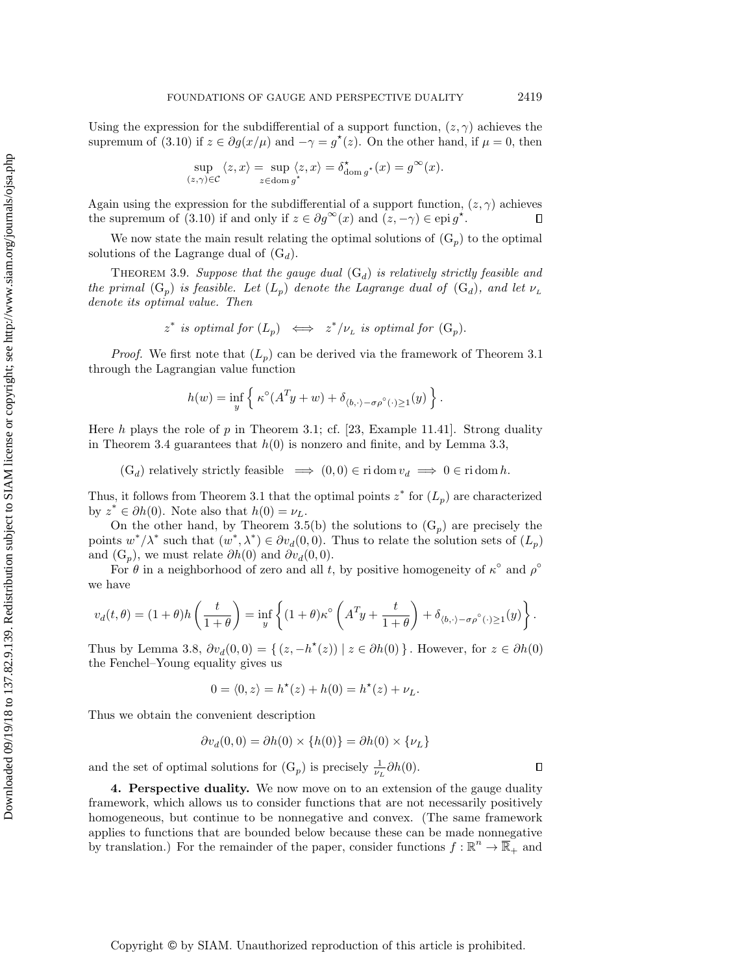Using the expression for the subdifferential of a support function,  $(z, \gamma )$  achieves the supremum of [\(3.10\)](#page-12-3) if  $z \in \partial g(x/\mu )$  and  $-\gamma = g^*(z)$ . On the other hand, if  $\mu = 0$ , then

$$
\sup_{(z,\gamma)\in\mathcal{C}}\langle z,x\rangle = \sup_{z\in\text{dom }g^*}\langle z,x\rangle = \delta_{\text{dom }g^*}^*(x) = g^\infty(x).
$$

Again using the expression for the subdifferential of a support function,  $(z, \gamma )$  achieves the supremum of [\(3.10\)](#page-12-3) if and only if  $z \in \partial g^\infty(x)$  and  $(z, - \gamma) \in \text{epi } g^*$ .  $\Box$ 

We now state the main result relating the optimal solutions of  $(G_p)$  $(G_p)$  to the optimal solutions of the Lagrange dual of  $(G_d)$  $(G_d)$ .

<span id="page-13-1"></span>THEOREM 3.9. Suppose that the gauge dual  $(G_d)$  $(G_d)$  is relatively strictly feasible and the primal  $(G_p)$  $(G_p)$  is feasible. Let  $(L_p)$  denote the Lagrange dual of  $(G_d)$ , and let  $\nu_L$ denote its optimal value. Then

$$
z^*
$$
 is optimal for  $(L_p)$   $\iff$   $z^*/\nu_L$  is optimal for  $(G_p)$ .

*Proof.* We first note that  $(L_p)$  can be derived via the framework of [Theorem 3.1](#page-5-2) through the Lagrangian value function

$$
h(w) = \inf_{y} \left\{ \kappa^{\circ}(A^{T}y + w) + \delta_{\langle b, \cdot \rangle - \sigma \rho^{\circ}(\cdot) \ge 1}(y) \right\}.
$$

Here h plays the role of p in [Theorem 3.1;](#page-5-2) cf. [\[23,](#page-28-13) Example 11.41]. Strong duality in [Theorem 3.4](#page-8-0) guarantees that  $h(0)$  is nonzero and finite, and by [Lemma 3.3,](#page-7-0)

 $(G_d)$  $(G_d)$  relatively strictly feasible  $\implies (0, 0) \in \text{ri} \, \text{dom} \, v_d \implies 0 \in \text{ri} \, \text{dom} \, h.$ 

Thus, it follows from [Theorem 3.1](#page-5-2) that the optimal points  $z^*$  for  $(L_p)$  are characterized by  $z^* \in \partial h(0)$ . Note also that  $h(0) = \nu_L$ .

On the other hand, by [Theorem 3.5\(](#page-8-2)b) the solutions to  $(G_p)$  $(G_p)$  are precisely the points  $w^*/\lambda^*$  such that  $(w^*, \lambda^*) \in \partial v_d(0, 0)$ . Thus to relate the solution sets of  $(L_p)$ and  $(G_p)$  $(G_p)$ , we must relate  $\partial h(0)$  and  $\partial v_d(0, 0)$ .

For  $\theta$  in a neighborhood of zero and all t, by positive homogeneity of  $\kappa^{\circ}$  and  $\rho^{\circ}$ we have

$$
v_d(t,\theta) = (1+\theta)h\left(\frac{t}{1+\theta}\right) = \inf_y \left\{ (1+\theta)\kappa^\circ \left( A^T y + \frac{t}{1+\theta} \right) + \delta_{\langle b,\cdot\rangle - \sigma\rho^\circ(\cdot) \ge 1}(y) \right\}.
$$

Thus by [Lemma 3.8,](#page-12-2)  $\partial v_d(0, 0) = \{ (z, -h^*(z)) \mid z \in \partial h(0) \}$ . However, for  $z \in \partial h(0)$ the Fenchel--Young equality gives us

$$
0 = \langle 0, z \rangle = h^*(z) + h(0) = h^*(z) + \nu_L.
$$

Thus we obtain the convenient description

$$
\partial v_d(0,0) = \partial h(0) \times \{h(0)\} = \partial h(0) \times \{\nu_L\}
$$

and the set of optimal solutions for  $(G_p)$  $(G_p)$  is precisely  $\frac{1}{\nu_L}\partial h(0)$ .

<span id="page-13-0"></span>4. Perspective duality. We now move on to an extension of the gauge duality framework, which allows us to consider functions that are not necessarily positively homogeneous, but continue to be nonnegative and convex. (The same framework applies to functions that are bounded below because these can be made nonnegative by translation.) For the remainder of the paper, consider functions  $f : \mathbb{R}^n \to \overline{\mathbb{R}}_+$  and

 $\Box$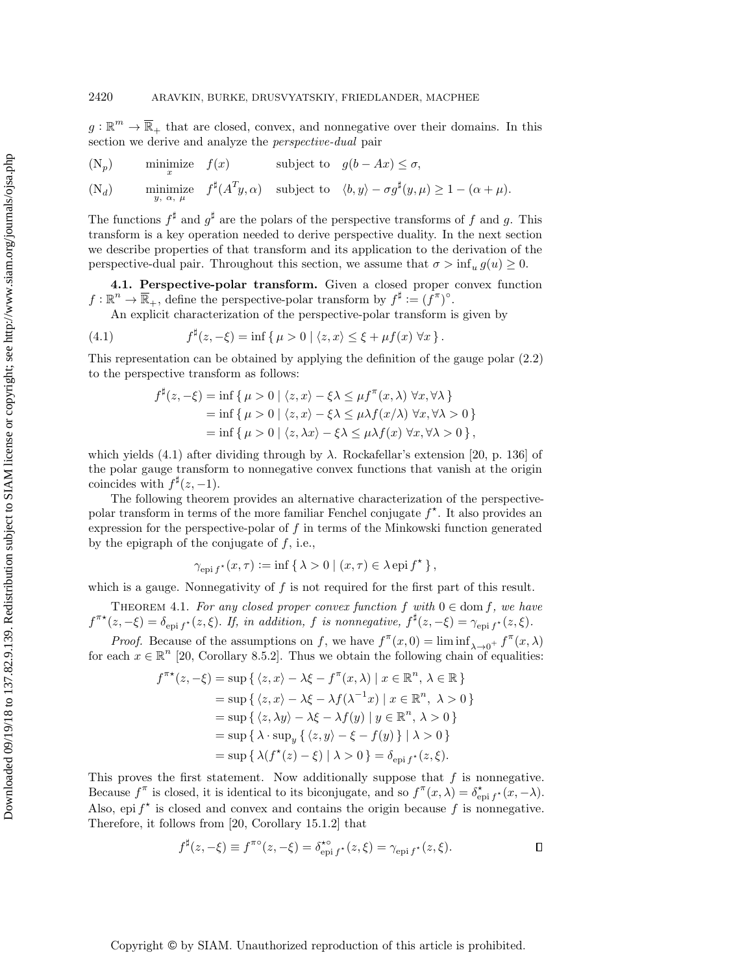$g: \mathbb{R}^m \rightarrow \overline{\mathbb{R}}_+$  that are closed, convex, and nonnegative over their domains. In this section we derive and analyze the perspective-dual pair

<span id="page-14-2"></span>(N<sub>p</sub>) minimize 
$$
f(x)
$$
 subject to  $g(b - Ax) \le \sigma$ ,

<span id="page-14-3"></span> $(N_d)$  minimize  $f^{\sharp}(A^T y, \alpha)$  subject to  $\langle b, y \rangle - \sigma g^{\sharp}(y, \mu) \geq 1 - (\alpha + \mu).$  $(N_d)$ 

The functions  $f^{\sharp}$  and  $g^{\sharp}$  are the polars of the perspective transforms of f and g. This transform is a key operation needed to derive perspective duality. In the next section we describe properties of that transform and its application to the derivation of the perspective-dual pair. Throughout this section, we assume that  $\sigma > \inf_u g(u) \geq 0$ .

4.1. Perspective-polar transform. Given a closed proper convex function  $f: \mathbb{R}^n \to \overline{\mathbb{R}}_+,$  define the perspective-polar transform by  $f^{\sharp} := (f^{\pi})^{\circ}$ .

An explicit characterization of the perspective-polar transform is given by

(4.1) 
$$
f^{\sharp}(z,-\xi) = \inf \{ \mu > 0 \mid \langle z, x \rangle \leq \xi + \mu f(x) \,\forall x \}.
$$

This representation can be obtained by applying the definition of the gauge polar [\(2.2\)](#page-3-1) to the perspective transform as follows:

<span id="page-14-0"></span>
$$
f^{\sharp}(z, -\xi) = \inf \{ \mu > 0 \mid \langle z, x \rangle - \xi \lambda \leq \mu f^{\pi}(x, \lambda) \,\forall x, \forall \lambda \}
$$
  
=  $\inf \{ \mu > 0 \mid \langle z, x \rangle - \xi \lambda \leq \mu \lambda f(x/\lambda) \,\forall x, \forall \lambda > 0 \}$   
=  $\inf \{ \mu > 0 \mid \langle z, \lambda x \rangle - \xi \lambda \leq \mu \lambda f(x) \,\forall x, \forall \lambda > 0 \},$ 

which yields [\(4.1\)](#page-14-0) after dividing through by  $\lambda$ . Rockafellar's extension [\[20,](#page-28-11) p. 136] of the polar gauge transform to nonnegative convex functions that vanish at the origin coincides with  $f^{\sharp}(z, -1)$ .

The following theorem provides an alternative characterization of the perspectivepolar transform in terms of the more familiar Fenchel conjugate  $f^*$ . It also provides an expression for the perspective-polar of f in terms of the Minkowski function generated by the epigraph of the conjugate of  $f$ , i.e.,

$$
\gamma_{\mathrm{epi} f^*}(x,\tau) := \inf \{ \lambda > 0 \mid (x,\tau) \in \lambda \mathrm{epi} f^* \},
$$

which is a gauge. Nonnegativity of  $f$  is not required for the first part of this result.

<span id="page-14-1"></span>THEOREM 4.1. For any closed proper convex function f with  $0 \in \text{dom } f$ , we have  $f^{\pi \star} (z, -\xi ) = \delta_{\text{epi} f^{\star}} (z, \xi)$ . If, in addition, f is nonnegative,  $f^{\sharp} (z, -\xi) = \gamma_{\text{epi} f^{\star}} (z, \xi)$ .

*Proof.* Because of the assumptions on f, we have  $f^{\pi}(x, 0) = \liminf_{\lambda \to 0^+} f^{\pi}(x, \lambda)$ for each  $x \in \mathbb{R}^n$  [\[20,](#page-28-11) Corollary 8.5.2]. Thus we obtain the following chain of equalities:

$$
f^{\pi*}(z, -\xi) = \sup \{ \langle z, x \rangle - \lambda \xi - f^{\pi}(x, \lambda) \mid x \in \mathbb{R}^n, \lambda \in \mathbb{R} \}
$$
  
=  $\sup \{ \langle z, x \rangle - \lambda \xi - \lambda f(\lambda^{-1}x) \mid x \in \mathbb{R}^n, \lambda > 0 \}$   
=  $\sup \{ \langle z, \lambda y \rangle - \lambda \xi - \lambda f(y) \mid y \in \mathbb{R}^n, \lambda > 0 \}$   
=  $\sup \{ \lambda \cdot \sup_y \{ \langle z, y \rangle - \xi - f(y) \} \mid \lambda > 0 \}$   
=  $\sup \{ \lambda (f^*(z) - \xi) \mid \lambda > 0 \} = \delta_{\text{epi} f^*}(z, \xi).$ 

This proves the first statement. Now additionally suppose that  $f$  is nonnegative. Because  $f^{\pi}$  is closed, it is identical to its biconjugate, and so  $f^{\pi}(x, \lambda) = \delta_{\text{epi }f}^{\star}(x, -\lambda)$ . Also, epi  $f^*$  is closed and convex and contains the origin because f is nonnegative. Therefore, it follows from [\[20,](#page-28-11) Corollary 15.1.2] that

$$
f^{\sharp}(z, -\xi) \equiv f^{\pi \circ}(z, -\xi) = \delta_{\text{epi} f^{\star}}^{\star \circ}(z, \xi) = \gamma_{\text{epi} f^{\star}}(z, \xi).
$$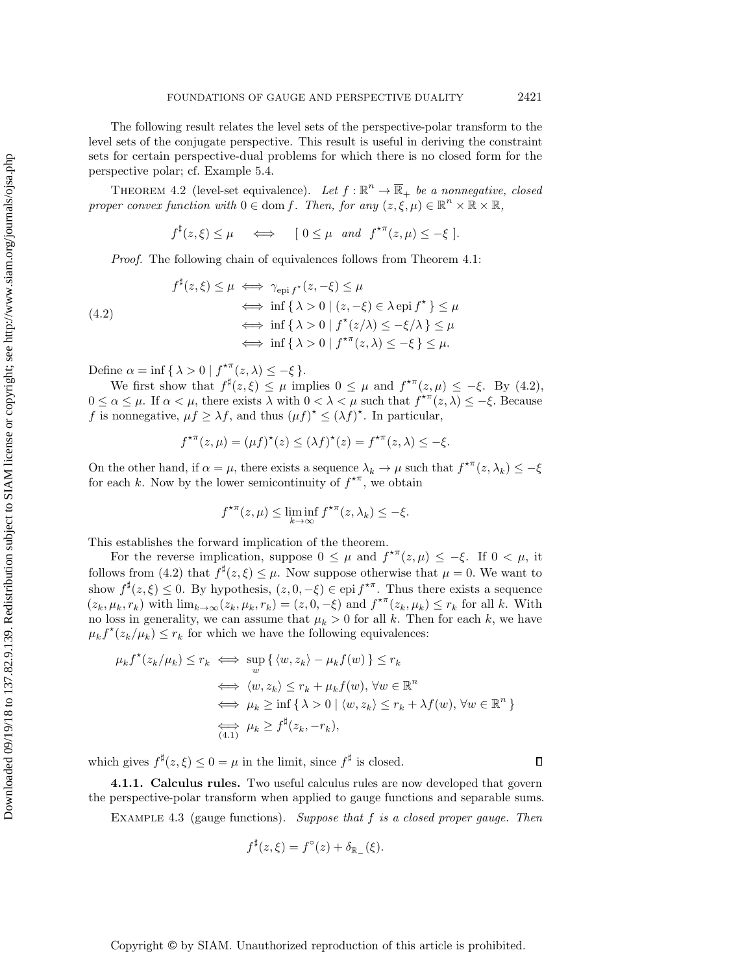The following result relates the level sets of the perspective-polar transform to the level sets of the conjugate perspective. This result is useful in deriving the constraint sets for certain perspective-dual problems for which there is no closed form for the perspective polar; cf. [Example 5.4.](#page-22-1)

<span id="page-15-2"></span>THEOREM 4.2 (level-set equivalence). Let  $f : \mathbb{R}^n \to \overline{\mathbb{R}}_+$  be a nonnegative, closed proper convex function with  $0 \in \text{dom } f$ . Then, for any  $(z, \xi, \mu) \in \mathbb{R}^n \times \overline{\mathbb{R}} \times \overline{\mathbb{R}}$ ,

$$
f^{\sharp}(z,\xi) \leq \mu \iff [0 \leq \mu \text{ and } f^{\star\pi}(z,\mu) \leq -\xi].
$$

Proof. The following chain of equivalences follows from [Theorem 4.1:](#page-14-1)

<span id="page-15-0"></span>
$$
f^{\sharp}(z,\xi) \leq \mu \iff \gamma_{\text{epi } f^*}(z,-\xi) \leq \mu
$$
  
\n
$$
\iff \inf \{ \lambda > 0 \mid (z,-\xi) \in \lambda \text{ epi } f^* \} \leq \mu
$$
  
\n
$$
\iff \inf \{ \lambda > 0 \mid f^*(z/\lambda) \leq -\xi/\lambda \} \leq \mu
$$
  
\n
$$
\iff \inf \{ \lambda > 0 \mid f^{*\pi}(z,\lambda) \leq -\xi \} \leq \mu.
$$

Define  $\alpha = \inf \{ \lambda > 0 \mid f^{\star \pi}(z, \lambda) \leq - \xi \}$ .

We first show that  $f^{\sharp}(z, \xi) \leq \mu$  implies  $0 \leq \mu$  and  $f^{\star \pi}(z, \mu) \leq -\xi$ . By [\(4.2\)](#page-15-0),  $0 \leq \alpha \leq \mu$ . If  $\alpha < \mu$ , there exists  $\lambda$  with  $0 < \lambda < \mu$  such that  $f^{\star \pi}(z, \lambda) \leq -\xi$ . Because f is nonnegative,  $\mu f \geq \lambda f$ , and thus  $(\mu f)^* \leq (\lambda f)^*$ . In particular,

$$
f^{\star\pi}(z,\mu) = (\mu f)^{\star}(z) \le (\lambda f)^{\star}(z) = f^{\star\pi}(z,\lambda) \le -\xi.
$$

On the other hand, if  $\alpha = \mu$ , there exists a sequence  $\lambda_k \rightarrow \mu$  such that  $f^{\star \pi}(z, \lambda_k) \leq - \xi$ for each k. Now by the lower semicontinuity of  $f^{\star \pi}$ , we obtain

$$
f^{\star\pi}(z,\mu) \le \liminf_{k \to \infty} f^{\star\pi}(z,\lambda_k) \le -\xi.
$$

This establishes the forward implication of the theorem.

For the reverse implication, suppose  $0 \leq \mu$  and  $f^{\star \pi}(z, \mu) \leq - \xi$ . If  $0 < \mu$ , it follows from [\(4.2\)](#page-15-0) that  $f^{\sharp}(z, \xi) \leq \mu$ . Now suppose otherwise that  $\mu = 0$ . We want to show  $f^{\sharp}(z, \xi) \leq 0$ . By hypothesis,  $(z, 0, -\xi) \in \text{epi } f^{*\pi}$ . Thus there exists a sequence  $(z_k, \mu_k, r_k)$  with  $\lim_{k \to \infty} (z_k, \mu_k, r_k) = (z, 0, - \xi )$  and  $f^{\star \pi}(z_k, \mu_k) \leq r_k$  for all k. With no loss in generality, we can assume that  $\mu_k > 0$  for all k. Then for each k, we have  $\mu_k f^*(z_k/\mu_k) \leq r_k$  for which we have the following equivalences:

$$
\mu_k f^*(z_k/\mu_k) \le r_k \iff \sup_w \{ \langle w, z_k \rangle - \mu_k f(w) \} \le r_k
$$
  

$$
\iff \langle w, z_k \rangle \le r_k + \mu_k f(w), \forall w \in \mathbb{R}^n
$$
  

$$
\iff \mu_k \ge \inf \{ \lambda > 0 \mid \langle w, z_k \rangle \le r_k + \lambda f(w), \forall w \in \mathbb{R}^n \}
$$
  

$$
\iff \mu_k \ge f^{\sharp}(z_k, -r_k),
$$

which gives  $f^{\sharp}(z, \xi) \leq 0 = \mu$  in the limit, since  $f^{\sharp}$  is closed.

 $\Box$ 

<span id="page-15-1"></span>4.1.1. Calculus rules. Two useful calculus rules are now developed that govern the perspective-polar transform when applied to gauge functions and separable sums.

EXAMPLE 4.3 (gauge functions). Suppose that  $f$  is a closed proper gauge. Then

$$
f^{\sharp}(z,\xi) = f^{\circ}(z) + \delta_{\mathbb{R}_{-}}(\xi).
$$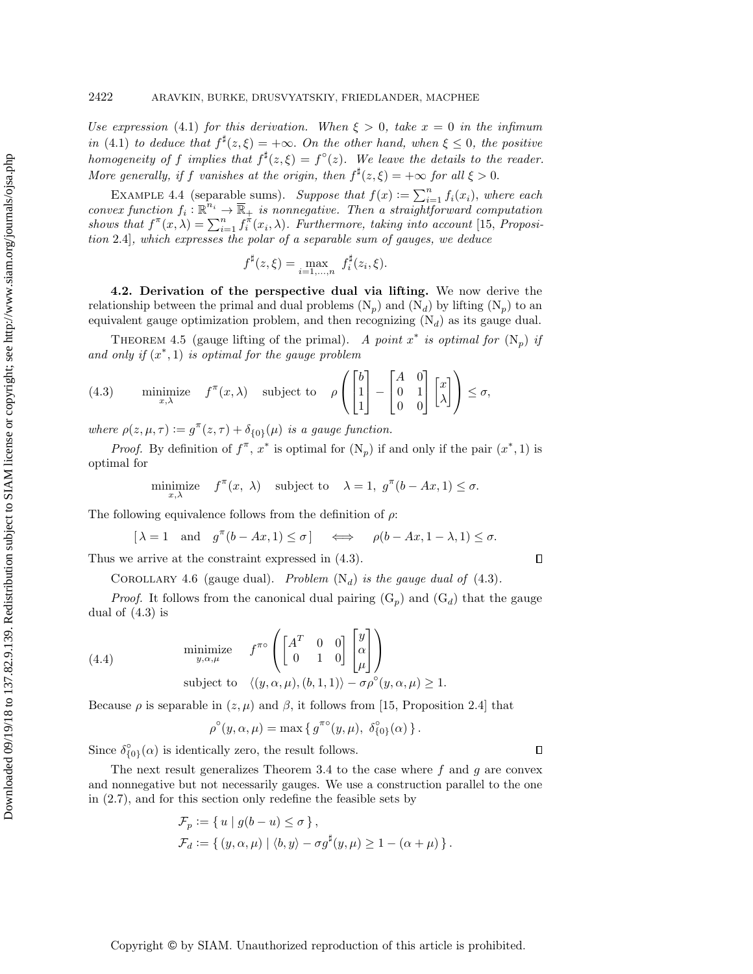Use expression [\(4.1\)](#page-14-0) for this derivation. When  $\xi > 0$ , take  $x = 0$  in the infimum in [\(4.1\)](#page-14-0) to deduce that  $f^{\sharp}(z, \xi) = +\infty$ . On the other hand, when  $\xi \leq 0$ , the positive homogeneity of f implies that  $f^{\sharp}(z,\xi) = f^{\circ}(z)$ . We leave the details to the reader. More generally, if f vanishes at the origin, then  $f^{\sharp}(z, \xi) = +\infty$  for all  $\xi > 0$ .

<span id="page-16-4"></span>EXAMPLE 4.4 (separable sums). Suppose that  $f(x) := \sum_{i=1}^{n} f_i(x_i)$ , where each convex function  $f_i : \mathbb{R}^{n_i} \to \overline{\mathbb{R}}_+$  is nonnegative. Then a straightforward computation shows that  $f^{\pi}(x, \lambda) = \sum_{i=1}^n f_i^{\pi}(x_i, \lambda)$ . Furthermore, taking into account [\[15,](#page-28-1) Proposition 2.4], which expresses the polar of a separable sum of gauges, we deduce

$$
f^{\sharp}(z,\xi) = \max_{i=1,...,n} f^{\sharp}_{i}(z_{i},\xi).
$$

4.2. Derivation of the perspective dual via lifting. We now derive the relationship between the primal and dual problems  $(N_p)$  $(N_p)$  and  $(N_d)$  by lifting  $(N_p)$  to an equivalent gauge optimization problem, and then recognizing  $(N_d)$  $(N_d)$  as its gauge dual.

<span id="page-16-1"></span>THEOREM 4.5 (gauge lifting of the primal). A point  $x^*$  is optimal for  $(N_p)$  $(N_p)$  if and only if  $(x^*, 1)$  is optimal for the gauge problem

<span id="page-16-0"></span>(4.3) minimize 
$$
f^{\pi}(x, \lambda)
$$
 subject to  $\rho \begin{pmatrix} b \\ 1 \\ 1 \end{pmatrix} - \begin{bmatrix} A & 0 \\ 0 & 1 \\ 0 & 0 \end{bmatrix} \begin{bmatrix} x \\ \lambda \end{bmatrix} \le \sigma$ ,

where  $\rho (z, \mu , \tau ) := g^{\pi} (z, \tau ) + \delta_{\{0\}} (\mu )$  is a gauge function.

*Proof.* By definition of  $f^{\pi}$ ,  $x^*$  is optimal for  $(N_p)$  $(N_p)$  if and only if the pair  $(x^*, 1)$  is optimal for

$$
\underset{x,\lambda}{\text{minimize}} \quad f^{\pi}(x, \lambda) \quad \text{subject to} \quad \lambda = 1, \ g^{\pi}(b - Ax, 1) \le \sigma.
$$

The following equivalence follows from the definition of  $\rho$ :

$$
[\lambda = 1 \quad \text{and} \quad g^{\pi}(b - Ax, 1) \le \sigma] \quad \iff \quad \rho(b - Ax, 1 - \lambda, 1) \le \sigma.
$$

<span id="page-16-2"></span>Thus we arrive at the constraint expressed in [\(4.3\)](#page-16-0).

COROLLARY 4.6 (gauge dual). Problem  $(N_d)$  $(N_d)$  is the gauge dual of [\(4.3\)](#page-16-0).

*Proof.* It follows from the canonical dual pairing  $(G_p)$  $(G_p)$  and  $(G_d)$  that the gauge dual of [\(4.3\)](#page-16-0) is

(4.4) 
$$
\begin{array}{ll}\text{minimize} & f^{\pi \circ} \left( \begin{bmatrix} A^T & 0 & 0 \ 0 & 1 & 0 \end{bmatrix} \begin{bmatrix} y \\ \alpha \\ \mu \end{bmatrix} \right) \\ \text{subject to} & \langle (y, \alpha, \mu), (b, 1, 1) \rangle - \sigma \rho^{\circ} (y, \alpha, \mu) \ge 1. \end{array}
$$

Because  $\rho$  is separable in  $(z, \mu)$  and  $\beta$ , it follows from [\[15,](#page-28-1) Proposition 2.4] that

<span id="page-16-3"></span>
$$
\rho^{\circ}(y,\alpha,\mu) = \max\left\{g^{\pi\circ}(y,\mu), \ \delta^{\circ}_{\{0\}}(\alpha)\right\}.
$$

Since  $\delta_{\{0\}}^{\circ}(\alpha)$  is identically zero, the result follows.

The next result generalizes [Theorem 3.4](#page-8-0) to the case where  $f$  and  $g$  are convex and nonnegative but not necessarily gauges. We use a construction parallel to the one in [\(2.7\)](#page-4-4), and for this section only redefine the feasible sets by

$$
\mathcal{F}_p := \{ u \mid g(b - u) \le \sigma \},
$$
  
\n
$$
\mathcal{F}_d := \{ (y, \alpha, \mu) \mid \langle b, y \rangle - \sigma g^{\sharp}(y, \mu) \ge 1 - (\alpha + \mu) \}.
$$

 $\Box$ 

 $\Box$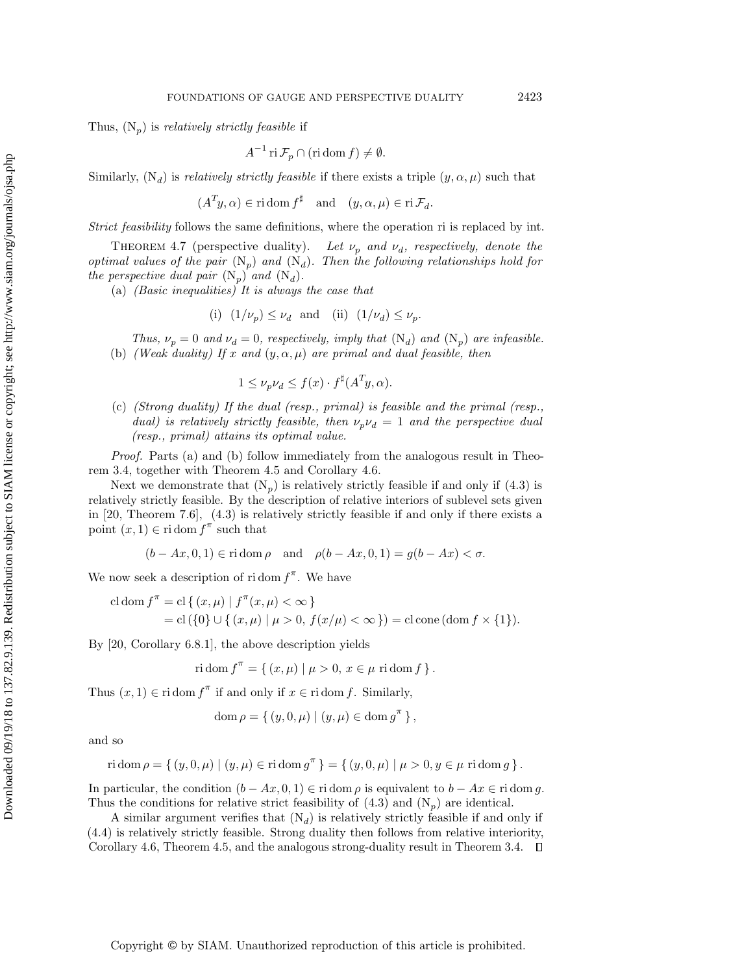Thus,  $(N_p)$  $(N_p)$  is *relatively strictly feasible* if

$$
A^{-1}\operatorname{ri}\mathcal{F}_p\cap(\operatorname{ri}\operatorname{dom} f)\neq\emptyset.
$$

Similarly,  $(N_d)$  $(N_d)$  is *relatively strictly feasible* if there exists a triple  $(y, \alpha, \mu)$  such that

 $(A^T y, \alpha) \in \text{ri} \, \text{dom} \, f^\sharp \quad \text{and} \quad (y, \alpha, \mu) \in \text{ri} \, \mathcal{F}_d.$ 

Strict feasibility follows the same definitions, where the operation ri is replaced by int.

THEOREM 4.7 (perspective duality). Let  $\nu_p$  and  $\nu_d$ , respectively, denote the optimal values of the pair  $(N_p)$  $(N_p)$  and  $(N_d)$ . Then the following relationships hold for the perspective dual pair  $(N_p)$  $(N_p)$  and  $(N_d)$ .

(a) (Basic inequalities) It is always the case that

(i) 
$$
(1/\nu_p) \leq \nu_d
$$
 and (ii)  $(1/\nu_d) \leq \nu_p$ .

Thus,  $\nu_p = 0$  and  $\nu_d = 0$ , respectively, imply that  $(N_d)$  $(N_d)$  and  $(N_p)$  are infeasible. (b) (Weak duality) If x and  $(y, \alpha, \mu )$  are primal and dual feasible, then

$$
1 \le \nu_p \nu_d \le f(x) \cdot f^{\sharp}(A^T y, \alpha).
$$

(c) (Strong duality) If the dual (resp., primal) is feasible and the primal (resp., dual) is relatively strictly feasible, then  $\nu_p\nu_d = 1$  and the perspective dual (resp., primal) attains its optimal value.

Proof. Parts (a) and (b) follow immediately from the analogous result in [Theo](#page-8-0)[rem 3.4,](#page-8-0) together with [Theorem 4.5](#page-16-1) and [Corollary 4.6.](#page-16-2)

Next we demonstrate that  $(N_p)$  $(N_p)$  is relatively strictly feasible if and only if  $(4.3)$  is relatively strictly feasible. By the description of relative interiors of sublevel sets given in [\[20,](#page-28-11) Theorem 7.6], [\(4.3\)](#page-16-0) is relatively strictly feasible if and only if there exists a point  $(x, 1) \in \text{ri} \, \text{dom} \, f^{\pi}$  such that

$$
(b - Ax, 0, 1) \in \text{ri dom } \rho \quad \text{and} \quad \rho(b - Ax, 0, 1) = g(b - Ax) < \sigma.
$$

We now seek a description of ridom  $f^{\pi}$ . We have

cl dom 
$$
f^{\pi}
$$
 = cl { $(x, \mu)$  |  $f^{\pi}(x, \mu) < \infty$ }  
= cl({0}  $\cup$  { $(x, \mu)$  |  $\mu > 0$ ,  $f(x/\mu) < \infty$ }) = cl cone (dom  $f \times \{1\}$ ).

By [\[20,](#page-28-11) Corollary 6.8.1], the above description yields

$$
r \operatorname{id} \operatorname{om} f^{\pi} = \{ (x, \mu) \mid \mu > 0, x \in \mu \text{ ri } \operatorname{dom} f \}.
$$

Thus  $(x, 1) \in \text{ri dom } f^{\pi}$  if and only if  $x \in \text{ri dom } f$ . Similarly,

$$
\mathrm{dom}\,\rho = \{ (y, 0, \mu) \mid (y, \mu) \in \mathrm{dom}\, g^{\pi} \},
$$

and so

ri dom 
$$
\rho = \{ (y, 0, \mu) | (y, \mu) \in \text{ri dom } g^{\pi} \} = \{ (y, 0, \mu) | \mu > 0, y \in \mu \text{ ri dom } g \}.
$$

In particular, the condition  $(b - Ax, 0, 1) \in \text{ri dom } \rho$  is equivalent to  $b - Ax \in \text{ri dom } g$ . Thus the conditions for relative strict feasibility of  $(4.3)$  and  $(N_p)$  $(N_p)$  are identical.

A similar argument verifies that  $(N_d)$  $(N_d)$  is relatively strictly feasible if and only if [\(4.4\)](#page-16-3) is relatively strictly feasible. Strong duality then follows from relative interiority, [Corollary 4.6,](#page-16-2) [Theorem 4.5,](#page-16-1) and the analogous strong-duality result in [Theorem 3.4.](#page-8-0)  $\Box$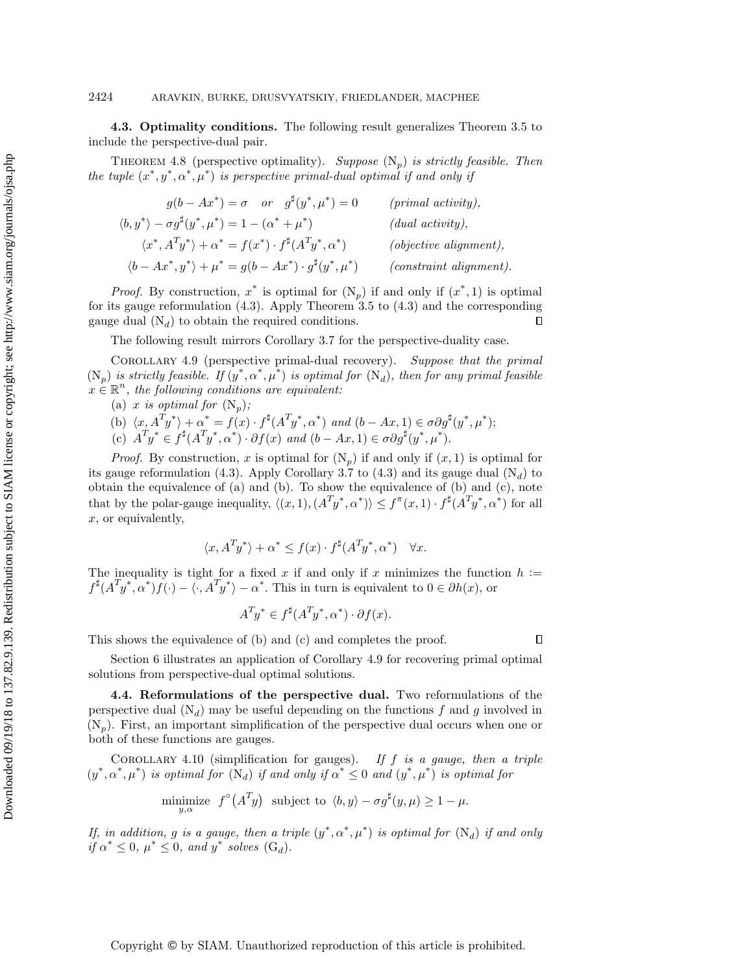4.3. Optimality conditions. The following result generalizes [Theorem 3.5](#page-8-2) to include the perspective-dual pair.

THEOREM 4.8 (perspective optimality). Suppose  $(N_p)$  $(N_p)$  is strictly feasible. Then the tuple  $(x^*, y^*, \alpha^*, \mu^*)$  is perspective primal-dual optimal if and only if

| $g(b - Ax^*) = \sigma$ or $g^{\sharp}(y^*, \mu^*) = 0$                                 | $(primal\ activity),$      |
|----------------------------------------------------------------------------------------|----------------------------|
| $\langle b, y^* \rangle - \sigma g^{\sharp}(y^*, \mu^*) = 1 - (\alpha^* + \mu^*)$      | (dual activity),           |
| $\langle x^*, A^T y^* \rangle + \alpha^* = f(x^*) \cdot f^{\sharp}(A^T y^*, \alpha^*)$ | $(objective\ alignment),$  |
| $\langle b - Ax^*, y^* \rangle + \mu^* = g(b - Ax^*) \cdot g^{\sharp}(y^*, \mu^*)$     | $(constraint\ alignment).$ |

*Proof.* By construction,  $x^*$  is optimal for  $(N_p)$  $(N_p)$  if and only if  $(x^*, 1)$  is optimal for its gauge reformulation [\(4.3\)](#page-16-0). Apply [Theorem 3.5](#page-8-2) to [\(4.3\)](#page-16-0) and the corresponding gauge dual  $(N_d)$  $(N_d)$  to obtain the required conditions.  $\Box$ 

The following result mirrors [Corollary 3.7](#page-11-0) for the perspective-duality case.

<span id="page-18-0"></span>Corollary 4.9 (perspective primal-dual recovery). Suppose that the primal  $(N_p)$  $(N_p)$  is strictly feasible. If  $(y^*, \alpha^*, \mu^*)$  is optimal for  $(N_d)$ , then for any primal feasible  $x \in \mathbb{R}^n$ , the following conditions are equivalent:

(a) x is optimal for  $(N_p)$  $(N_p)$ ;

(b) 
$$
\langle x, A^T y^* \rangle + \alpha^* = f(x) \cdot f^{\sharp}(A^T y^*, \alpha^*)
$$
 and  $(b - Ax, 1) \in \sigma \partial g^{\sharp}(y^*, \mu^*)$ ;

(c)  $A^T y^* \in f^{\sharp}(A^T y^*, \alpha^*) \cdot \partial f(x)$  and  $(b - Ax, 1) \in \sigma \partial g^{\sharp}(y^*, \mu^*)$ .

*Proof.* By construction, x is optimal for  $(N_p)$  $(N_p)$  if and only if  $(x, 1)$  is optimal for its gauge reformulation [\(4.3\)](#page-16-0). Apply [Corollary 3.7](#page-11-0) to (4.3) and its gauge dual  $(N_d)$  $(N_d)$  to obtain the equivalence of (a) and (b). To show the equivalence of (b) and (c), note that by the polar-gauge inequality,  $\langle (x, 1), (A^T y^*, \alpha^*) \rangle \leq f^{\pi}(x, 1) \cdot f^{\sharp}(A^T y^*, \alpha^*)$  for all x, or equivalently,

$$
\langle x, A^T y^* \rangle + \alpha^* \le f(x) \cdot f^{\sharp}(A^T y^*, \alpha^*) \quad \forall x.
$$

The inequality is tight for a fixed x if and only if x minimizes the function  $h :=$  $f^{\sharp}(A^T y^*, \alpha^*) f(\cdot) - \langle \cdot, A^T y^* \rangle - \alpha^*$ . This in turn is equivalent to  $0 \in \partial h(x)$ , or

$$
A^T y^* \in f^{\sharp}(A^T y^*, \alpha^*) \cdot \partial f(x).
$$

This shows the equivalence of (b) and (c) and completes the proof.

[Section 6](#page-22-0) illustrates an application of [Corollary 4.9](#page-18-0) for recovering primal optimal solutions from perspective-dual optimal solutions.

4.4. Reformulations of the perspective dual. Two reformulations of the perspective dual  $(N_d)$  $(N_d)$  may be useful depending on the functions f and g involved in  $(N_p)$  $(N_p)$ . First, an important simplification of the perspective dual occurs when one or both of these functions are gauges.

<span id="page-18-1"></span>COROLLARY 4.10 (simplification for gauges). If f is a gauge, then a triple  $(y^*, \alpha^*, \mu^*)$  is optimal for  $(N_d)$  $(N_d)$  if and only if  $\alpha^* \leq 0$  and  $(y^*, \mu^*)$  is optimal for

minimize 
$$
f^{\circ}(A^T y)
$$
 subject to  $\langle b, y \rangle - \sigma g^{\sharp}(y, \mu) \ge 1 - \mu$ .

If, in addition, g is a gauge, then a triple  $(y^*, \alpha^*, \mu^*)$  is optimal for  $(N_d)$  $(N_d)$  if and only if  $\alpha^* \leq 0$ ,  $\mu^* \leq 0$ , and  $y^*$  solves  $(G_d)$  $(G_d)$ .

Downloaded 09/19/18 to 137.82.9.139. Redistribution subject to SIAM license or copyright; see http://www.siam.org/journals/ojsa.php Downloaded 09/19/18 to 137.82.9.139. Redistribution subject to SIAM license or copyright; see http://www.siam.org/journals/ojsa.php

 $\Box$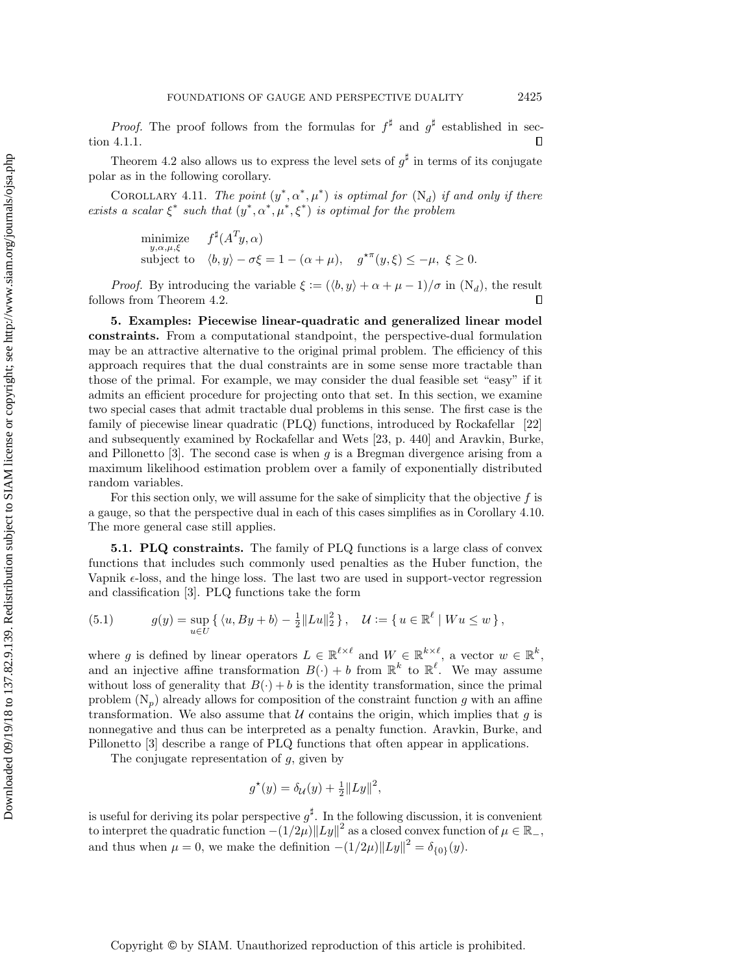*Proof.* The proof follows from the formulas for  $f^{\sharp}$  and  $g^{\sharp}$  established in [sec](#page-15-1)[tion 4.1.1.](#page-15-1)  $\Box$ 

[Theorem 4.2](#page-15-2) also allows us to express the level sets of  $g^{\sharp}$  in terms of its conjugate polar as in the following corollary.

<span id="page-19-3"></span>COROLLARY 4.11. The point  $(y^*, \alpha^*, \mu^*)$  is optimal for  $(N_d)$  $(N_d)$  if and only if there exists a scalar  $\xi^*$  such that  $(y^*, \alpha^*, \mu^*, \xi^*)$  is optimal for the problem

minimize  
\n<sub>y,\alpha,\mu,\xi</sub>  
\nsubject to 
$$
\langle b, y \rangle - \sigma \xi = 1 - (\alpha + \mu), \quad g^{\star \pi}(y, \xi) \leq -\mu, \ \xi \geq 0.
$$

*Proof.* By introducing the variable  $\xi := (\langle b, y \rangle + \alpha + \mu - 1)/\sigma$  in  $(N_d)$  $(N_d)$ , the result follows from [Theorem 4.2.](#page-15-2)  $\Box$ 

<span id="page-19-0"></span>5. Examples: Piecewise linear-quadratic and generalized linear model constraints. From a computational standpoint, the perspective-dual formulation may be an attractive alternative to the original primal problem. The efficiency of this approach requires that the dual constraints are in some sense more tractable than those of the primal. For example, we may consider the dual feasible set "easy" if it admits an efficient procedure for projecting onto that set. In this section, we examine two special cases that admit tractable dual problems in this sense. The first case is the family of piecewise linear quadratic (PLQ) functions, introduced by Rockafellar [\[22\]](#page-28-18) and subsequently examined by Rockafellar and Wets [\[23,](#page-28-13) p. 440] and Aravkin, Burke, and Pillonetto  $[3]$ . The second case is when g is a Bregman divergence arising from a maximum likelihood estimation problem over a family of exponentially distributed random variables.

For this section only, we will assume for the sake of simplicity that the objective  $f$  is a gauge, so that the perspective dual in each of this cases simplifies as in [Corollary 4.10.](#page-18-1) The more general case still applies.

<span id="page-19-4"></span>5.1. PLQ constraints. The family of PLQ functions is a large class of convex functions that includes such commonly used penalties as the Huber function, the Vapnik  $\epsilon$ -loss, and the hinge loss. The last two are used in support-vector regression and classification [\[3\]](#page-27-2). PLQ functions take the form

<span id="page-19-1"></span>(5.1) 
$$
g(y) = \sup_{u \in U} \{ \langle u, By + b \rangle - \frac{1}{2} ||Lu||_2^2 \}, \quad \mathcal{U} := \{ u \in \mathbb{R}^{\ell} | W u \leq w \},
$$

where g is defined by linear operators  $L \in \mathbb{R}^{\ell \times \ell}$  and  $W \in \mathbb{R}^{k \times \ell}$ , a vector  $w \in \mathbb{R}^k$ , and an injective affine transformation  $B(\cdot) + b$  from  $\mathbb{R}^k$  to  $\mathbb{R}^{\ell}$ . We may assume without loss of generality that  $B(\cdot) + b$  is the identity transformation, since the primal problem  $(N_p)$  $(N_p)$  already allows for composition of the constraint function g with an affine transformation. We also assume that  $\mathcal U$  contains the origin, which implies that g is nonnegative and thus can be interpreted as a penalty function. Aravkin, Burke, and Pillonetto [\[3\]](#page-27-2) describe a range of PLQ functions that often appear in applications.

The conjugate representation of  $g$ , given by

$$
g^*(y) = \delta_{\mathcal{U}}(y) + \frac{1}{2} ||Ly||^2,
$$

<span id="page-19-2"></span>is useful for deriving its polar perspective  $g^{\sharp}$ . In the following discussion, it is convenient to interpret the quadratic function  $-(1/2\mu) \|Ly\|^2$  as a closed convex function of  $\mu \in \mathbb{R}_+$ , and thus when  $\mu = 0$ , we make the definition  $- (1/2\mu) \| Ly\|^2 = \delta_{\{0\}}(y)$ .

Copyright © by SIAM. Unauthorized reproduction of this article is prohibited.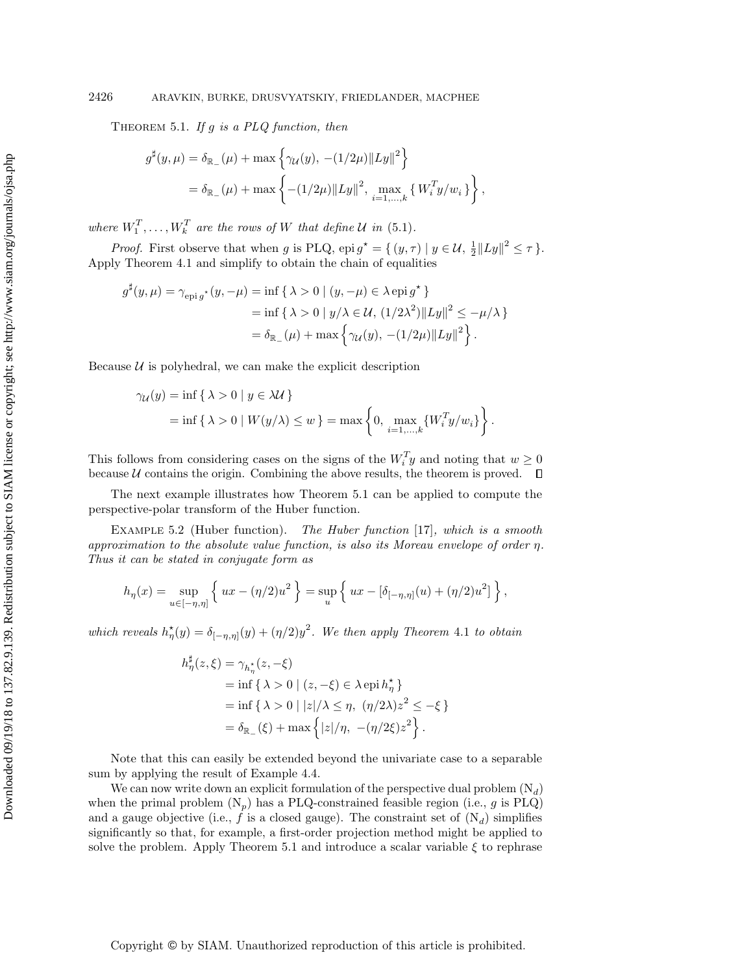THEOREM 5.1. If  $g$  is a PLQ function, then

$$
g^{\sharp}(y,\mu) = \delta_{\mathbb{R}_{-}}(\mu) + \max \left\{ \gamma_{\mathcal{U}}(y), -(1/2\mu) \|Ly\|^2 \right\}
$$
  
=  $\delta_{\mathbb{R}_{-}}(\mu) + \max \left\{ -(1/2\mu) \|Ly\|^2, \max_{i=1,...,k} \left\{ W_i^T y / w_i \right\} \right\},$ 

where  $W_1^T, \ldots, W_k^T$  are the rows of W that define  $\mathcal U$  in [\(5.1\)](#page-19-1).

*Proof.* First observe that when g is PLQ, epi  $g^* = \{ (y, \tau) | y \in \mathcal{U}, \frac{1}{2} ||Ly||^2 \leq \tau \}$ . Apply [Theorem 4.1](#page-14-1) and simplify to obtain the chain of equalities

$$
g^{\sharp}(y,\mu) = \gamma_{\text{epi}\,g^{\star}}(y,-\mu) = \inf \{ \lambda > 0 \mid (y,-\mu) \in \lambda \,\text{epi}\,g^{\star} \} = \inf \{ \lambda > 0 \mid y/\lambda \in \mathcal{U}, (1/2\lambda^2) ||Ly||^2 \le -\mu/\lambda \} = \delta_{\mathbb{R}_{-}}(\mu) + \max \{ \gamma_{\mathcal{U}}(y), -(1/2\mu) ||Ly||^2 \}.
$$

Because  $\mathcal U$  is polyhedral, we can make the explicit description

$$
\gamma_{\mathcal{U}}(y) = \inf \{ \lambda > 0 \mid y \in \lambda \mathcal{U} \}
$$
  
= 
$$
\inf \{ \lambda > 0 \mid W(y/\lambda) \le w \} = \max \left\{ 0, \max_{i=1,\dots,k} \{ W_i^T y / w_i \} \right\}.
$$

This follows from considering cases on the signs of the  $W_i^T y$  and noting that  $w \geq 0$ because  $\mathcal U$  contains the origin. Combining the above results, the theorem is proved.  $\Box$ 

The next example illustrates how [Theorem 5.1](#page-19-2) can be applied to compute the perspective-polar transform of the Huber function.

<span id="page-20-0"></span>Example 5.2 (Huber function). The Huber function [\[17\]](#page-28-2), which is a smooth approximation to the absolute value function, is also its Moreau envelope of order  $\eta$ . Thus it can be stated in conjugate form as

$$
h_{\eta}(x) = \sup_{u \in [-\eta, \eta]} \left\{ ux - (\eta/2)u^2 \right\} = \sup_{u} \left\{ ux - [\delta_{[-\eta, \eta]}(u) + (\eta/2)u^2] \right\},\,
$$

which reveals  $h_{\eta}^{\star}(y) = \delta_{[-\eta, \eta]}(y) + (\eta/2)y^2$ . We then apply [Theorem](#page-14-1) 4.1 to obtain

$$
h_{\eta}^{\sharp}(z,\xi) = \gamma_{h_{\eta}^*}(z, -\xi)
$$
  
= inf {  $\lambda > 0$  |  $(z, -\xi) \in \lambda$  epi  $h_{\eta}^*$  }  
= inf {  $\lambda > 0$  |  $|z|/\lambda \le \eta$ ,  $(\eta/2\lambda)z^2 \le -\xi$  }  
=  $\delta_{\mathbb{R}_{-}}(\xi) + \max\{|z|/\eta, -(\eta/2\xi)z^2\}.$ 

Note that this can easily be extended beyond the univariate case to a separable sum by applying the result of Example [4.4.](#page-16-4)

We can now write down an explicit formulation of the perspective dual problem  $(N_d)$  $(N_d)$ when the primal problem  $(N_p)$  $(N_p)$  has a PLQ-constrained feasible region (i.e., g is PLQ) and a gauge objective (i.e.,  $f$  is a closed gauge). The constraint set of  $(N_d)$  $(N_d)$  simplifies significantly so that, for example, a first-order projection method might be applied to solve the problem. Apply [Theorem 5.1](#page-19-2) and introduce a scalar variable  $\xi$  to rephrase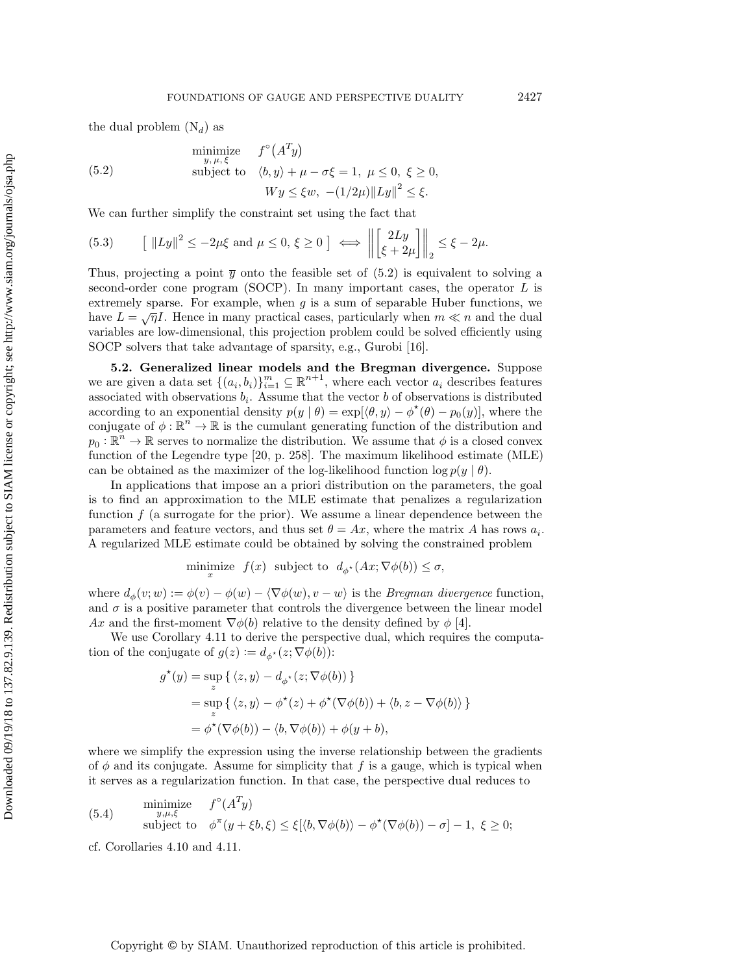the dual problem  $(N_d)$  $(N_d)$  as

<span id="page-21-1"></span>
$$
\begin{aligned}\n\text{minimize} & f^{\circ}(A^T y) \\
\text{subject to} & \langle b, y \rangle + \mu - \sigma \xi = 1, \ \mu \le 0, \ \xi \ge 0, \\
& W y \le \xi w, \ -\frac{1}{2\mu} \|L y\|^2 \le \xi.\n\end{aligned}
$$

We can further simplify the constraint set using the fact that

<span id="page-21-3"></span>(5.3) 
$$
\left\| |Ly|^2 \le -2\mu\xi \text{ and } \mu \le 0, \xi \ge 0 \right\| \iff \left\| \begin{bmatrix} 2Ly \\ \xi + 2\mu \end{bmatrix} \right\|_2 \le \xi - 2\mu.
$$

Thus, projecting a point  $\bar{y}$  onto the feasible set of [\(5.2\)](#page-21-1) is equivalent to solving a second-order cone program (SOCP). In many important cases, the operator  $L$  is extremely sparse. For example, when  $g$  is a sum of separable Huber functions, we have  $L = \sqrt{\eta}I$ . Hence in many practical cases, particularly when  $m \ll n$  and the dual variables are low-dimensional, this projection problem could be solved efficiently using SOCP solvers that take advantage of sparsity, e.g., Gurobi [\[16\]](#page-28-19).

<span id="page-21-0"></span>5.2. Generalized linear models and the Bregman divergence. Suppose we are given a data set  $\{(a_i, b_i)\}_{i=1}^m \subseteq \mathbb{R}^{n+1}$ , where each vector  $a_i$  describes features associated with observations  $b_i$ . Assume that the vector b of observations is distributed according to an exponential density  $p(y | \theta) = \exp[\langle \theta, y \rangle - \phi^{\star}(\theta) - p_0(y)]$ , where the conjugate of  $\phi : \mathbb{R}^n \to \mathbb{R}$  is the cumulant generating function of the distribution and  $p_0: \mathbb{R}^n \to \mathbb{R}$  serves to normalize the distribution. We assume that  $\phi$  is a closed convex function of the Legendre type [\[20,](#page-28-11) p. 258]. The maximum likelihood estimate (MLE) can be obtained as the maximizer of the log-likelihood function  $\log p(y \mid \theta)$ .

In applications that impose an a priori distribution on the parameters, the goal is to find an approximation to the MLE estimate that penalizes a regularization function  $f$  (a surrogate for the prior). We assume a linear dependence between the parameters and feature vectors, and thus set  $\theta = Ax$ , where the matrix A has rows  $a_i$ . A regularized MLE estimate could be obtained by solving the constrained problem

minimize  $f(x)$  subject to  $d_{\phi^*}(Ax; \nabla \phi (b)) \leq \sigma$ ,

where  $d_{\phi}(v; w) := \phi (v) - \phi (w) - \langle \nabla \phi (w), v - w\rangle$  is the *Bregman divergence* function, and  $\sigma$  is a positive parameter that controls the divergence between the linear model Ax and the first-moment  $\nabla \phi (b)$  relative to the density defined by  $\phi$  [\[4\]](#page-27-3).

We use [Corollary 4.11](#page-19-3) to derive the perspective dual, which requires the computation of the conjugate of  $g(z) := d_{\phi^*}(z; \nabla \phi (b))$ :

$$
g^{\star}(y) = \sup_{z} \{ \langle z, y \rangle - d_{\phi^{\star}}(z; \nabla \phi(b)) \}
$$
  
= 
$$
\sup_{z} \{ \langle z, y \rangle - \phi^{\star}(z) + \phi^{\star}(\nabla \phi(b)) + \langle b, z - \nabla \phi(b) \rangle \}
$$
  
= 
$$
\phi^{\star}(\nabla \phi(b)) - \langle b, \nabla \phi(b) \rangle + \phi(y + b),
$$

where we simplify the expression using the inverse relationship between the gradients of  $\phi$  and its conjugate. Assume for simplicity that f is a gauge, which is typical when it serves as a regularization function. In that case, the perspective dual reduces to

<span id="page-21-2"></span>(5.4) minimize 
$$
f^{\circ}(A^T y)
$$
  
\nsubject to  $\phi^{\pi}(y + \xi b, \xi) \leq \xi[\langle b, \nabla \phi(b) \rangle - \phi^{\star}(\nabla \phi(b)) - \sigma] - 1, \xi \geq 0;$ 

cf. Corollaries [4.10](#page-18-1) and [4.11.](#page-19-3)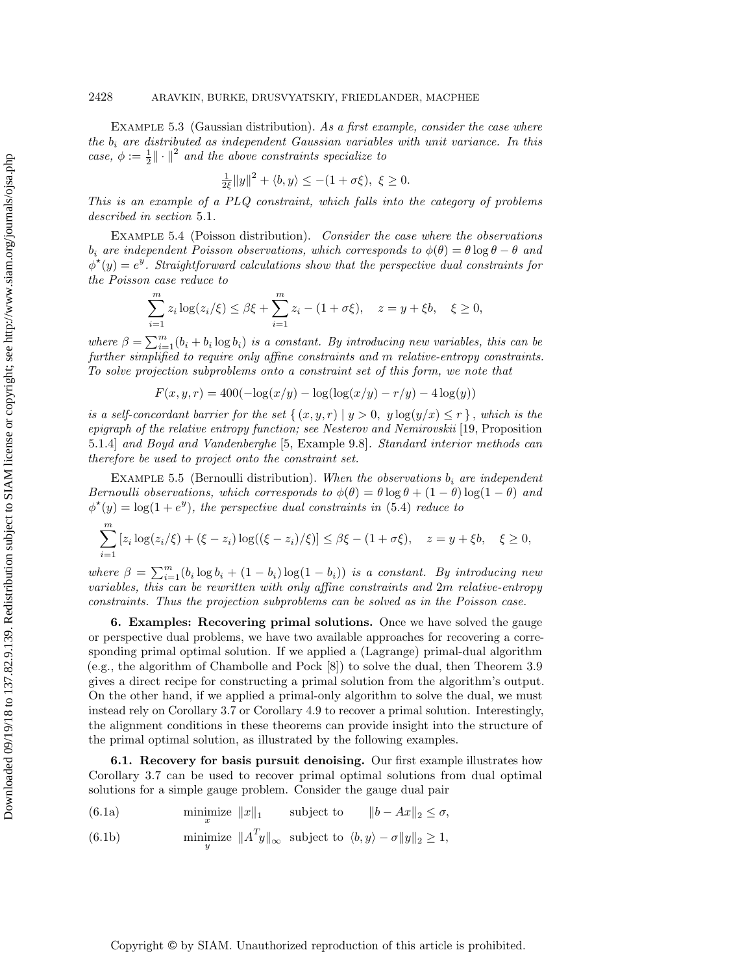EXAMPLE 5.3 (Gaussian distribution). As a first example, consider the case where the  $b_i$  are distributed as independent Gaussian variables with unit variance. In this case,  $\phi := \frac{1}{2} \|\cdot \|^2$  and the above constraints specialize to

$$
\frac{1}{2\xi}||y||^2 + \langle b, y \rangle \le -(1 + \sigma \xi), \xi \ge 0.
$$

This is an example of a PLQ constraint, which falls into the category of problems described in [section](#page-19-4) 5.1.

<span id="page-22-1"></span>Example 5.4 (Poisson distribution). Consider the case where the observations  $b_i$  are independent Poisson observations, which corresponds to  $\phi (\theta ) = \theta \log \theta - \theta$  and  $\phi^{\star}(y) = e^y$ . Straightforward calculations show that the perspective dual constraints for the Poisson case reduce to

$$
\sum_{i=1}^{m} z_i \log(z_i/\xi) \le \beta \xi + \sum_{i=1}^{m} z_i - (1 + \sigma \xi), \quad z = y + \xi b, \quad \xi \ge 0,
$$

where  $\beta = \sum_{i=1}^m (b_i + b_i \log b_i)$  is a constant. By introducing new variables, this can be further simplified to require only affine constraints and m relative-entropy constraints. To solve projection subproblems onto a constraint set of this form, we note that

$$
F(x, y, r) = 400(-\log(x/y) - \log(\log(x/y) - r/y) - 4\log(y))
$$

is a self-concordant barrier for the set  $\{ (x, y, r) \mid y > 0, y \log(y/x) \leq r \}$ , which is the epigraph of the relative entropy function; see Nesterov and Nemirovskii [\[19,](#page-28-20) Proposition 5.1.4] and Boyd and Vandenberghe [\[5,](#page-28-21) Example 9.8]. Standard interior methods can therefore be used to project onto the constraint set.

EXAMPLE 5.5 (Bernoulli distribution). When the observations  $b_i$  are independent Bernoulli observations, which corresponds to  $\phi (\theta ) = \theta \log \theta + (1 - \theta )\log(1 - \theta )$  and  $\phi^*(y) = \log(1 + e^y)$ , the perspective dual constraints in [\(5.4\)](#page-21-2) reduce to

$$
\sum_{i=1}^{m} [z_i \log(z_i/\xi) + (\xi - z_i) \log((\xi - z_i)/\xi)] \le \beta \xi - (1 + \sigma \xi), \quad z = y + \xi b, \quad \xi \ge 0,
$$

where  $\beta = \sum_{i=1}^m (b_i \log b_i + (1 - b_i) \log(1 - b_i))$  is a constant. By introducing new variables, this can be rewritten with only affine constraints and 2m relative-entropy constraints. Thus the projection subproblems can be solved as in the Poisson case.

<span id="page-22-0"></span>6. Examples: Recovering primal solutions. Once we have solved the gauge or perspective dual problems, we have two available approaches for recovering a corresponding primal optimal solution. If we applied a (Lagrange) primal-dual algorithm (e.g., the algorithm of Chambolle and Pock [\[8\]](#page-28-14)) to solve the dual, then [Theorem 3.9](#page-13-1) gives a direct recipe for constructing a primal solution from the algorithm's output. On the other hand, if we applied a primal-only algorithm to solve the dual, we must instead rely on [Corollary 3.7](#page-11-0) or [Corollary 4.9](#page-18-0) to recover a primal solution. Interestingly, the alignment conditions in these theorems can provide insight into the structure of the primal optimal solution, as illustrated by the following examples.

<span id="page-22-4"></span>6.1. Recovery for basis pursuit denoising. Our first example illustrates how [Corollary 3.7](#page-11-0) can be used to recover primal optimal solutions from dual optimal solutions for a simple gauge problem. Consider the gauge dual pair

<span id="page-22-3"></span>(6.1a) 
$$
\min_{x} \text{size} ||x||_1 \qquad \text{subject to} \qquad ||b - Ax||_2 \le \sigma,
$$
\n(6.1b) 
$$
\min_{x} ||a|_2 ||a|_2 ||b|_2 \qquad \text{subject to} \qquad (b, a) \qquad \tau ||a||_2 > 1.
$$

<span id="page-22-2"></span>(6.1b) 
$$
\text{minimize } \|A^T y\|_{\infty} \text{ subject to } \langle b, y \rangle - \sigma \|y\|_2 \ge 1,
$$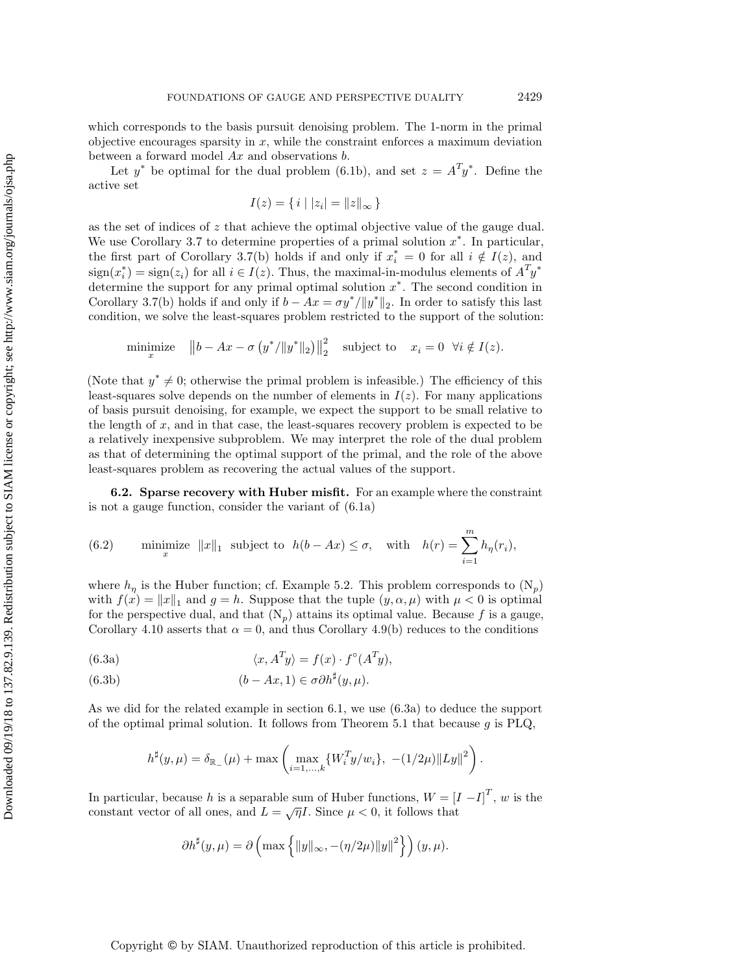which corresponds to the basis pursuit denoising problem. The 1-norm in the primal objective encourages sparsity in  $x$ , while the constraint enforces a maximum deviation between a forward model Ax and observations b.

Let  $y^*$  be optimal for the dual problem [\(6.1b\)](#page-22-2), and set  $z = A^T y^*$ . Define the active set

$$
I(z) = \{ i \mid |z_i| = ||z||_{\infty} \}
$$

as the set of indices of  $z$  that achieve the optimal objective value of the gauge dual. We use [Corollary 3.7](#page-11-0) to determine properties of a primal solution  $x^*$ . In particular, the first part of [Corollary 3.7\(](#page-11-0)b) holds if and only if  $x_i^* = 0$  for all  $i \notin I(z)$ , and  $\text{sign}(x_i^*) = \text{sign}(z_i)$  for all  $i \in I(z)$ . Thus, the maximal-in-modulus elements of  $A^T y^*$ determine the support for any primal optimal solution  $x^*$ . The second condition in [Corollary 3.7\(](#page-11-0)b) holds if and only if  $b - Ax = \sigma y^* / \|y^*\|_2$ . In order to satisfy this last condition, we solve the least-squares problem restricted to the support of the solution:

minimize 
$$
||b - Ax - \sigma(y^*/||y^*||_2)||_2^2
$$
 subject to  $x_i = 0 \ \forall i \notin I(z)$ .

(Note that  $y^* \neq 0$ ; otherwise the primal problem is infeasible.) The efficiency of this least-squares solve depends on the number of elements in  $I(z)$ . For many applications of basis pursuit denoising, for example, we expect the support to be small relative to the length of  $x$ , and in that case, the least-squares recovery problem is expected to be a relatively inexpensive subproblem. We may interpret the role of the dual problem as that of determining the optimal support of the primal, and the role of the above least-squares problem as recovering the actual values of the support.

<span id="page-23-2"></span>6.2. Sparse recovery with Huber misfit. For an example where the constraint is not a gauge function, consider the variant of [\(6.1a\)](#page-22-3)

<span id="page-23-1"></span>(6.2) minimize 
$$
||x||_1
$$
 subject to  $h(b - Ax) \le \sigma$ , with  $h(r) = \sum_{i=1}^m h_\eta(r_i)$ ,

where  $h_\eta$  is the Huber function; cf. [Example 5.2.](#page-20-0) This problem corresponds to  $(N_p)$  $(N_p)$ with  $f(x) = \| x \|_1$  and  $g = h$ . Suppose that the tuple  $(y, \alpha, \mu )$  with  $\mu < 0$  is optimal for the perspective dual, and that  $(N_p)$  $(N_p)$  attains its optimal value. Because f is a gauge, [Corollary 4.10](#page-18-1) asserts that  $\alpha = 0$ , and thus [Corollary 4.9\(](#page-18-0)b) reduces to the conditions

<span id="page-23-0"></span>(6.3a) 
$$
\langle x, A^T y \rangle = f(x) \cdot f^{\circ}(A^T y),
$$

(6.3b) 
$$
(b - Ax, 1) \in \sigma \partial h^{\sharp}(y, \mu).
$$

As we did for the related example in [section 6.1,](#page-22-4) we use [\(6.3a\)](#page-23-0) to deduce the support of the optimal primal solution. It follows from [Theorem 5.1](#page-19-2) that because  $g$  is PLQ,

$$
h^{\sharp}(y,\mu) = \delta_{\mathbb{R}_{-}}(\mu) + \max \left( \max_{i=1,\dots,k} \{ W_i^T y / w_i \}, - (1/2\mu) \|Ly\|^2 \right).
$$

In particular, because h is a separable sum of Huber functions,  $W = [I - I]^T$ , w is the constant vector of all ones, and  $L = \sqrt{\eta} L$ . Since  $\mu < 0$ , it follows that

$$
\partial h^{\sharp}(y,\mu) = \partial \left( \max \left\{ ||y||_{\infty}, -(\eta/2\mu) ||y||^2 \right\} \right) (y,\mu).
$$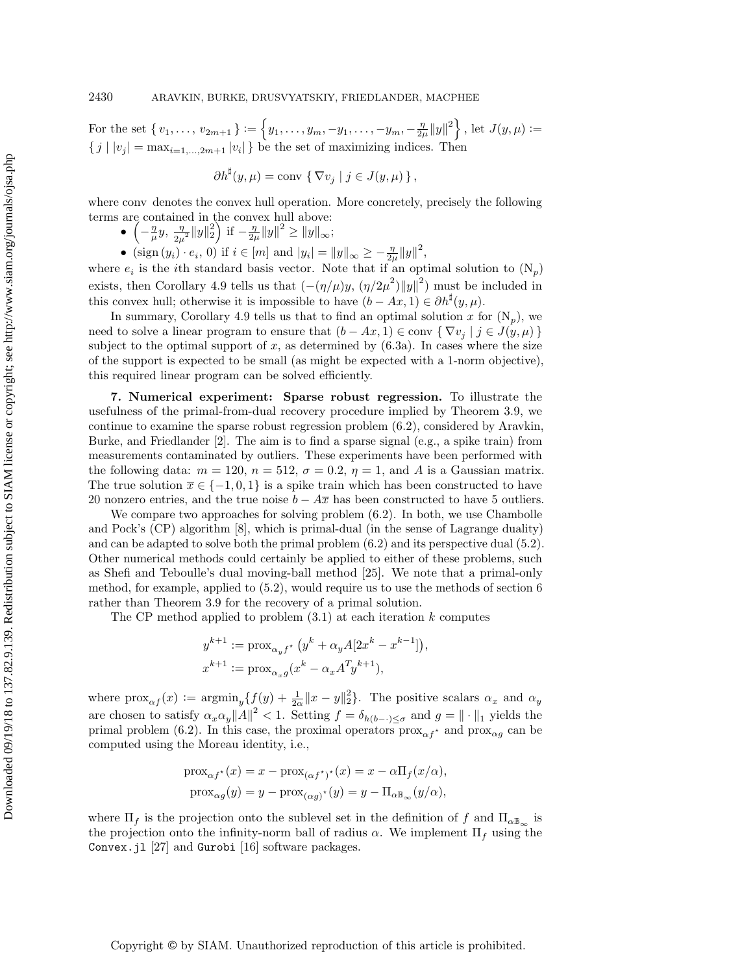For the set  $\{v_1, \ldots, v_{2m+1}\} := \left\{ y_1, \ldots, y_m, -y_1, \ldots, -y_m, -\frac{\eta}{2\mu} ||y||^2 \right\}$ , let  $J(y, \mu) :=$  $\{ j | | v_j | = \max_{i=1,\dots,2m+1} | v_i | \}$  be the set of maximizing indices. Then

$$
\partial h^{\sharp}(y,\mu) = \text{conv } \{ \nabla v_j \mid j \in J(y,\mu) \},
$$

where conv denotes the convex hull operation. More concretely, precisely the following terms are contained in the convex hull above:

- $\bullet \ \left( -\frac{\eta}{\mu}y, \frac{\eta}{2\mu} \right)$  $\frac{\eta}{2\mu^2} \|y\|_2^2 \bigg) \text{ if } -\frac{\eta}{2\mu} \|y\|^2 \geq \|y\|_{\infty};$
- (sign  $(y_i) \cdot e_i$ , 0) if  $i \in [m]$  and  $|y_i| = ||y||_{\infty} \geq \frac{\eta}{2\mu} ||y||^2$ ,

where  $e_i$  is the *i*th standard basis vector. Note that if an optimal solution to  $(N_p)$  $(N_p)$ exists, then [Corollary 4.9](#page-18-0) tells us that  $(-(\eta / \mu) y, (\eta / 2\mu^2) ||y||^2)$  must be included in this convex hull; otherwise it is impossible to have  $(b - Ax, 1) \in \partial h^\sharp(y, \mu)$ .

In summary, [Corollary 4.9](#page-18-0) tells us that to find an optimal solution x for  $(N_p)$  $(N_p)$ , we need to solve a linear program to ensure that  $(b - Ax, 1) \in \text{conv } \{ \nabla v_j \mid j \in J(y, \mu) \}$ subject to the optimal support of  $x$ , as determined by  $(6.3a)$ . In cases where the size of the support is expected to be small (as might be expected with a 1-norm objective), this required linear program can be solved efficiently.

<span id="page-24-0"></span>7. Numerical experiment: Sparse robust regression. To illustrate the usefulness of the primal-from-dual recovery procedure implied by [Theorem 3.9,](#page-13-1) we continue to examine the sparse robust regression problem [\(6.2\)](#page-23-1), considered by Aravkin, Burke, and Friedlander [\[2\]](#page-27-1). The aim is to find a sparse signal (e.g., a spike train) from measurements contaminated by outliers. These experiments have been performed with the following data:  $m = 120$ ,  $n = 512$ ,  $\sigma = 0.2$ ,  $\eta = 1$ , and A is a Gaussian matrix. The true solution  $\bar{x} \in \{ -1, 0, 1\}$  is a spike train which has been constructed to have 20 nonzero entries, and the true noise  $b - \overline{A\overline{x}}$  has been constructed to have 5 outliers.

We compare two approaches for solving problem [\(6.2\)](#page-23-1). In both, we use Chambolle and Pock's (CP) algorithm [\[8\]](#page-28-14), which is primal-dual (in the sense of Lagrange duality) and can be adapted to solve both the primal problem [\(6.2\)](#page-23-1) and its perspective dual [\(5.2\)](#page-21-1). Other numerical methods could certainly be applied to either of these problems, such as Shefi and Teboulle's dual moving-ball method [\[25\]](#page-28-22). We note that a primal-only method, for example, applied to [\(5.2\)](#page-21-1), would require us to use the methods of [section 6](#page-22-0) rather than [Theorem 3.9](#page-13-1) for the recovery of a primal solution.

The CP method applied to problem  $(3.1)$  at each iteration k computes

$$
\begin{aligned} y^{k+1} &:= \mathrm{prox}_{\alpha_y f^\star} \left( y^k + \alpha_y A[2x^k - x^{k-1}] \right) \\ x^{k+1} &:= \mathrm{prox}_{\alpha_x g} (x^k - \alpha_x A^T y^{k+1}), \end{aligned}
$$

,

where  $\text{prox}_{\alpha f} (x) := \text{argmin}_y \{ f(y) + \frac{1}{2\alpha} ||x - y||_2^2 \}.$  The positive scalars  $\alpha_x$  and  $\alpha_y$ are chosen to satisfy  $\alpha_x \alpha_y \|A\|^2 < 1$ . Setting  $f = \delta_{h(b - \cdot )\leq \sigma}$  and  $g = \| \cdot \|_1$  yields the primal problem [\(6.2\)](#page-23-1). In this case, the proximal operators  $prox_{\alpha f}$  and  $prox_{\alpha g}$  can be computed using the Moreau identity, i.e.,

$$
\begin{aligned} &\mathrm{prox}_{\alpha f^\star}(x) = x - \mathrm{prox}_{(\alpha f^\star)^\star}(x) = x - \alpha \Pi_f(x/\alpha), \\ &\mathrm{prox}_{\alpha g}(y) = y - \mathrm{prox}_{(\alpha g)^\star}(y) = y - \Pi_{\alpha \mathbb{B}_\infty}(y/\alpha), \end{aligned}
$$

where  $\Pi_f$  is the projection onto the sublevel set in the definition of f and  $\Pi_{\alpha \mathbb{B}_{\infty}}$  is the projection onto the infinity-norm ball of radius  $\alpha$ . We implement  $\Pi_f$  using the Convex.jl [\[27\]](#page-28-23) and Gurobi [\[16\]](#page-28-19) software packages.

Copyright © by SIAM. Unauthorized reproduction of this article is prohibited.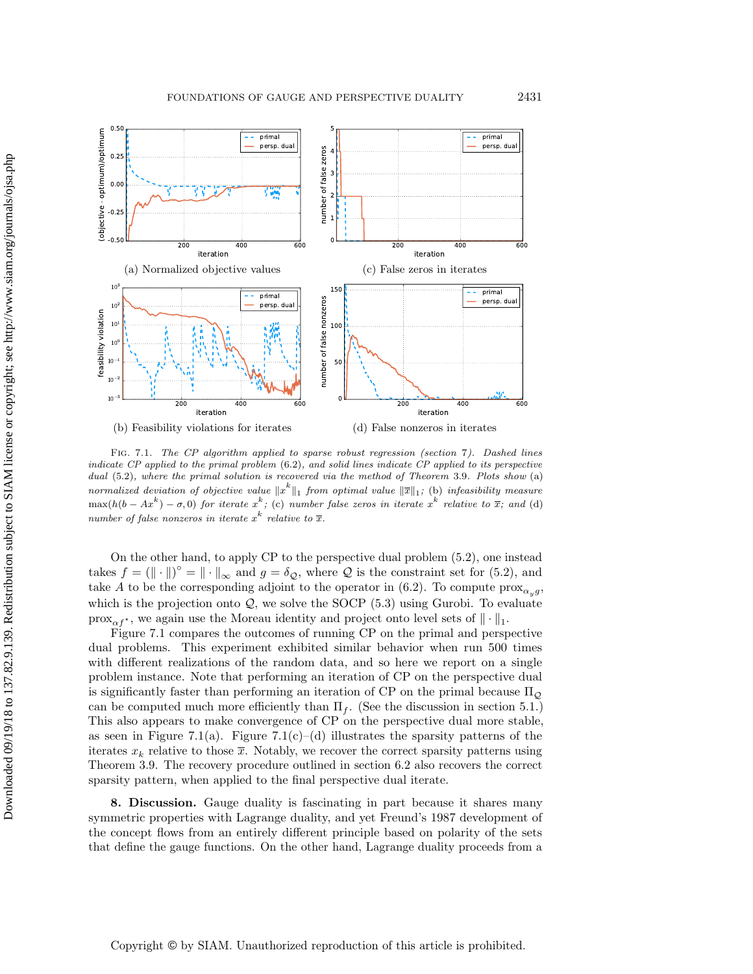<span id="page-25-0"></span>

Fig. 7.1. The CP algorithm applied to sparse robust regression [\(section](#page-24-0) 7). Dashed lines indicate  $CP$  applied to the primal problem  $(6.2)$ , and solid lines indicate  $CP$  applied to its perspective dual  $(5.2)$ , where the primal solution is recovered via the method of [Theorem](#page-13-1) 3.9. Plots show (a) normalized deviation of objective value  $\| x^k \|_1$  from optimal value  $\| \overline{x} \|_1$ ; (b) infeasibility measure  $\max(h(b - Ax^k) - \sigma, 0)$  for iterate  $x^k$ ; (c) number false zeros in iterate  $x^k$  relative to  $\overline{x}$ ; and (d) number of false nonzeros in iterate  $x^k$  relative to  $\overline{x}$ .

On the other hand, to apply CP to the perspective dual problem [\(5.2\)](#page-21-1), one instead takes  $f = (\|\cdot \|)^{\circ} = \|\cdot\|_{\infty}$  and  $g = \delta_{\mathcal{Q}}$ , where  $\mathcal Q$  is the constraint set for [\(5.2\)](#page-21-1), and take A to be the corresponding adjoint to the operator in [\(6.2\)](#page-23-1). To compute  $\text{prox}_{\alpha_y g}$ , which is the projection onto  $\mathcal{Q}$ , we solve the SOCP [\(5.3\)](#page-21-3) using Gurobi. To evaluate  $\text{prox}_{\alpha f^*}$ , we again use the Moreau identity and project onto level sets of  $\| \cdot \|_1$ .

[Figure 7.1](#page-25-0) compares the outcomes of running CP on the primal and perspective dual problems. This experiment exhibited similar behavior when run 500 times with different realizations of the random data, and so here we report on a single problem instance. Note that performing an iteration of CP on the perspective dual is significantly faster than performing an iteration of CP on the primal because  $\Pi \circ$ can be computed much more efficiently than  $\Pi_f$ . (See the discussion in [section 5.1.](#page-19-4)) This also appears to make convergence of CP on the perspective dual more stable, as seen in [Figure 7.1\(](#page-25-0)a). Figure 7.1(c)–(d) illustrates the sparsity patterns of the iterates  $x_k$  relative to those  $\overline{x}$ . Notably, we recover the correct sparsity patterns using [Theorem 3.9.](#page-13-1) The recovery procedure outlined in [section 6.2](#page-23-2) also recovers the correct sparsity pattern, when applied to the final perspective dual iterate.

8. Discussion. Gauge duality is fascinating in part because it shares many symmetric properties with Lagrange duality, and yet Freund's 1987 development of the concept flows from an entirely different principle based on polarity of the sets that define the gauge functions. On the other hand, Lagrange duality proceeds from a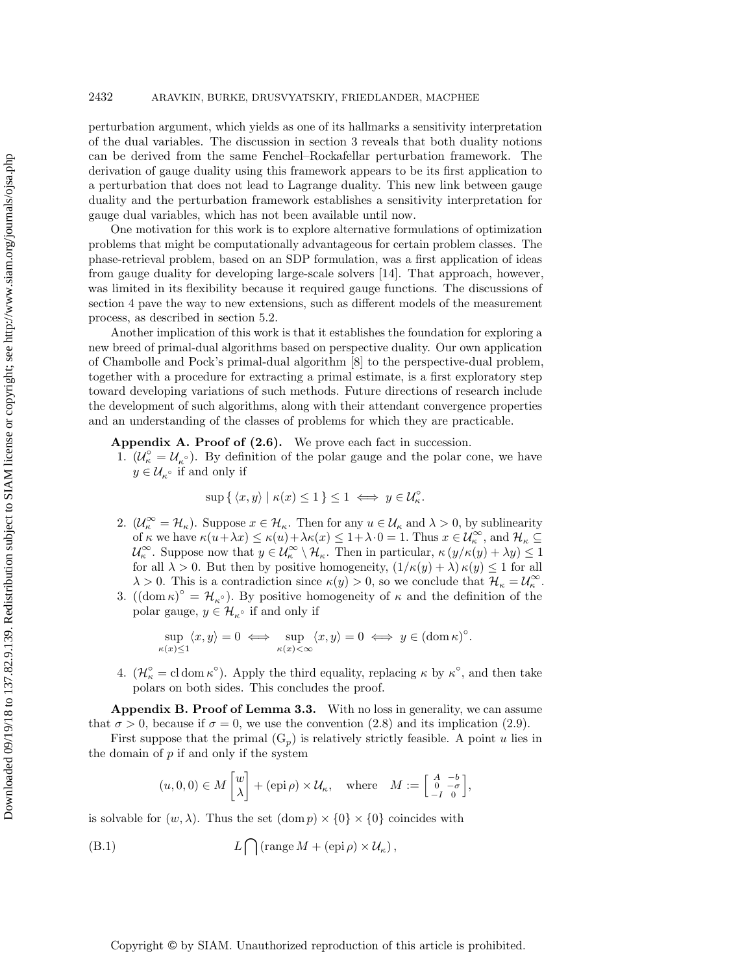## 2432 ARAVKIN, BURKE, DRUSVYATSKIY, FRIEDLANDER, MACPHEE

perturbation argument, which yields as one of its hallmarks a sensitivity interpretation of the dual variables. The discussion in [section 3](#page-5-0) reveals that both duality notions can be derived from the same Fenchel--Rockafellar perturbation framework. The derivation of gauge duality using this framework appears to be its first application to a perturbation that does not lead to Lagrange duality. This new link between gauge duality and the perturbation framework establishes a sensitivity interpretation for gauge dual variables, which has not been available until now.

One motivation for this work is to explore alternative formulations of optimization problems that might be computationally advantageous for certain problem classes. The phase-retrieval problem, based on an SDP formulation, was a first application of ideas from gauge duality for developing large-scale solvers [\[14\]](#page-28-5). That approach, however, was limited in its flexibility because it required gauge functions. The discussions of [section 4](#page-13-0) pave the way to new extensions, such as different models of the measurement process, as described in [section 5.2.](#page-21-0)

Another implication of this work is that it establishes the foundation for exploring a new breed of primal-dual algorithms based on perspective duality. Our own application of Chambolle and Pock's primal-dual algorithm [\[8\]](#page-28-14) to the perspective-dual problem, together with a procedure for extracting a primal estimate, is a first exploratory step toward developing variations of such methods. Future directions of research include the development of such algorithms, along with their attendant convergence properties and an understanding of the classes of problems for which they are practicable.

<span id="page-26-0"></span>Appendix A. Proof of  $(2.6)$ . We prove each fact in succession.

1.  $(\mathcal{U}_{\kappa}^{\circ} = \mathcal{U}_{\kappa}^{\circ})$ . By definition of the polar gauge and the polar cone, we have  $y \in \mathcal{U}_{\kappa}$ <sup>o</sup> if and only if

$$
\sup\{\langle x,y\rangle \mid \kappa(x)\leq 1\} \leq 1 \iff y\in \mathcal{U}_{\kappa}^{\circ}.
$$

- 2.  $(\mathcal{U}_\kappa^\infty = \mathcal{H}_\kappa )$ . Suppose  $x \in \mathcal{H}_\kappa$ . Then for any  $u \in \mathcal{U}_\kappa$  and  $\lambda > 0$ , by sublinearity of  $\kappa$  we have  $\kappa (u+\lambda x) \leq \kappa (u)+\lambda \kappa (x) \leq 1+\lambda \cdot 0 = 1$ . Thus  $x \in \mathcal{U}_{\kappa}^{\infty}$ , and  $\mathcal{H}_{\kappa} \subseteq$  $\mathcal{U}_{\kappa}^{\infty}$ . Suppose now that  $y \in \mathcal{U}_{\kappa}^{\infty} \setminus \mathcal{H}_{\kappa}$ . Then in particular,  $\kappa (y/\kappa(y) + \lambda y) \leq 1$ for all  $\lambda > 0$ . But then by positive homogeneity,  $(1/\kappa (y) + \lambda ) \kappa (y) \leq 1$  for all  $\lambda > 0$ . This is a contradiction since  $\kappa (y) > 0$ , so we conclude that  $\mathcal{H}_{\kappa} = \mathcal{U}_{\kappa}^{\infty}$ .
- 3.  $((\text{dom }\kappa )^{\circ } = \mathcal{H}_{\kappa} \circ )$ . By positive homogeneity of  $\kappa$  and the definition of the polar gauge,  $y \in \mathcal{H}_{\kappa}$  if and only if

$$
\sup_{\kappa(x)\leq 1} \langle x, y \rangle = 0 \iff \sup_{\kappa(x)<\infty} \langle x, y \rangle = 0 \iff y \in (\operatorname{dom} \kappa)^{\circ}.
$$

4.  $(\mathcal{H}_\kappa^{\circ} = \text{cl dom }\kappa^{\circ})$ . Apply the third equality, replacing  $\kappa$  by  $\kappa^{\circ}$ , and then take polars on both sides. This concludes the proof.

<span id="page-26-1"></span>Appendix B. Proof of [Lemma 3.3.](#page-7-0) With no loss in generality, we can assume that  $\sigma > 0$ , because if  $\sigma = 0$ , we use the convention [\(2.8\)](#page-4-2) and its implication [\(2.9\)](#page-4-3).

First suppose that the primal  $(G_p)$  $(G_p)$  is relatively strictly feasible. A point u lies in the domain of  $p$  if and only if the system

<span id="page-26-2"></span>
$$
(u, 0, 0) \in M\begin{bmatrix}w\\ \lambda\end{bmatrix} + (\text{epi }\rho) \times \mathcal{U}_{\kappa}, \text{ where } M := \begin{bmatrix}A & -b\\ 0 & -\sigma\\ -I & 0\end{bmatrix},
$$

is solvable for  $(w, \lambda )$ . Thus the set  $(\text{dom } p) \times \{ 0\} \times \{ 0\}$  coincides with

(B.1) 
$$
L\bigcap (\text{range } M + (\text{epi }\rho) \times \mathcal{U}_\kappa),
$$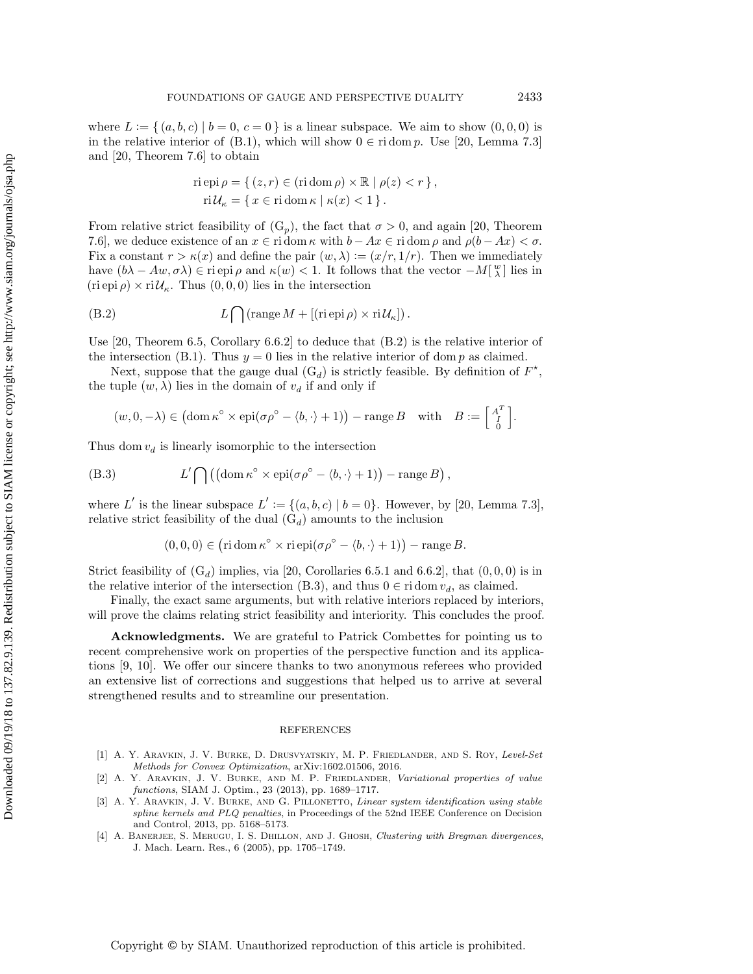where  $L := \{ (a, b, c) | b = 0, c = 0 \}$  is a linear subspace. We aim to show  $(0, 0, 0)$  is in the relative interior of [\(B.1\)](#page-26-2), which will show  $0 \in \text{ri dom } p$ . Use [\[20,](#page-28-11) Lemma 7.3] and [\[20,](#page-28-11) Theorem 7.6] to obtain

<span id="page-27-4"></span>
$$
\begin{aligned} &\text{ri epi}\,\rho = \{\,(z,r) \in (\text{ri dom}\,\rho) \times \mathbb{R} \mid \rho(z) < r\,\}, \\ &\text{ri}\,\mathcal{U}_\kappa = \{\,x \in \text{ri dom}\,\kappa \mid \kappa(x) < 1\,\}. \end{aligned}
$$

From relative strict feasibility of  $(G_p)$  $(G_p)$ , the fact that  $\sigma > 0$ , and again [\[20,](#page-28-11) Theorem 7.6], we deduce existence of an  $x \in \text{ri} \, \text{dom} \, \kappa$  with  $b - Ax \in \text{ri} \, \text{dom} \, \rho$  and  $\rho (b - Ax) < \sigma$ . Fix a constant  $r > \kappa (x)$  and define the pair  $(w, \lambda ) := (x/r, 1/r)$ . Then we immediately have  $(b\lambda - Aw, \sigma \lambda) \in \text{ri epi } \rho$  and  $\kappa (w) < 1$ . It follows that the vector  $-M[\frac{w}{\lambda}]$  lies in  $(\text{ri epi } \rho) \times \text{ri } \mathcal{U}_{\kappa}$ . Thus  $(0, 0, 0)$  lies in the intersection

(B.2) 
$$
L\bigcap (\text{range } M + [(\text{ri epi }\rho) \times \text{ri } \mathcal{U}_\kappa]).
$$

Use  $[20,$  Theorem 6.5, Corollary 6.6.2 to deduce that  $(B.2)$  is the relative interior of the intersection [\(B.1\)](#page-26-2). Thus  $y = 0$  lies in the relative interior of dom p as claimed.

Next, suppose that the gauge dual  $(G_d)$  $(G_d)$  is strictly feasible. By definition of  $F^*$ , the tuple  $(w, \lambda)$  lies in the domain of  $v_d$  if and only if

$$
(w, 0, -\lambda) \in (\text{dom } \kappa^{\circ} \times \text{epi}(\sigma \rho^{\circ} - \langle b, \cdot \rangle + 1)) - \text{range } B \text{ with } B := \begin{bmatrix} A^T \\ 0 \end{bmatrix}.
$$

Thus dom  $v_d$  is linearly isomorphic to the intersection

(B.3) 
$$
L' \cap ((\text{dom } \kappa^{\circ} \times \text{epi}(\sigma \rho^{\circ} - \langle b, \cdot \rangle + 1)) - \text{range } B),
$$

where L' is the linear subspace  $L' := \{ (a, b, c) \mid b = 0 \}$ . However, by [\[20,](#page-28-11) Lemma 7.3], relative strict feasibility of the dual  $(G_d)$  $(G_d)$  amounts to the inclusion

<span id="page-27-5"></span>
$$
(0,0,0) \in (r \operatorname{id} \operatorname{om} \kappa^{\circ} \times \operatorname{ri} \operatorname{epi}(\sigma \rho^{\circ} - \langle b, \cdot \rangle + 1)) - \operatorname{range} B.
$$

Strict feasibility of  $(G_d)$  $(G_d)$  implies, via [\[20,](#page-28-11) Corollaries 6.5.1 and 6.6.2], that  $(0,0,0)$  is in the relative interior of the intersection [\(B.3\)](#page-27-5), and thus  $0 \in \text{ri dom } v_d$ , as claimed.

Finally, the exact same arguments, but with relative interiors replaced by interiors, will prove the claims relating strict feasibility and interiority. This concludes the proof.

Acknowledgments. We are grateful to Patrick Combettes for pointing us to recent comprehensive work on properties of the perspective function and its applications [\[9,](#page-28-15) [10\]](#page-28-16). We offer our sincere thanks to two anonymous referees who provided an extensive list of corrections and suggestions that helped us to arrive at several strengthened results and to streamline our presentation.

## REFERENCES

- <span id="page-27-0"></span>[1] A. Y. Aravkin, J. V. Burke, D. Drusvyatskiy, M. P. Friedlander, and S. Roy, Level-Set Methods for Convex Optimization, arXiv:1602.01506, 2016.
- <span id="page-27-1"></span>A. Y. ARAVKIN, J. V. BURKE, AND M. P. FRIEDLANDER, Variational properties of value functions, SIAM J. Optim., 23 (2013), pp. 1689-1717.
- <span id="page-27-2"></span>[3] A. Y. ARAVKIN, J. V. BURKE, AND G. PILLONETTO, Linear system identification using stable spline kernels and PLQ penalties, in Proceedings of the 52nd IEEE Conference on Decision and Control, 2013, pp. 5168-5173.
- <span id="page-27-3"></span>[4] A. BANERJEE, S. MERUGU, I. S. DHILLON, AND J. GHOSH, Clustering with Bregman divergences, J. Mach. Learn. Res., 6 (2005), pp. 1705--1749.